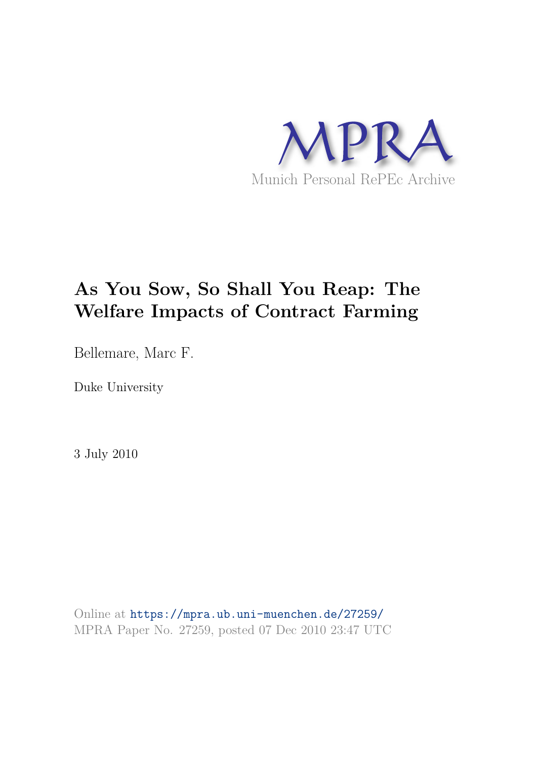

# **As You Sow, So Shall You Reap: The Welfare Impacts of Contract Farming**

Bellemare, Marc F.

Duke University

3 July 2010

Online at https://mpra.ub.uni-muenchen.de/27259/ MPRA Paper No. 27259, posted 07 Dec 2010 23:47 UTC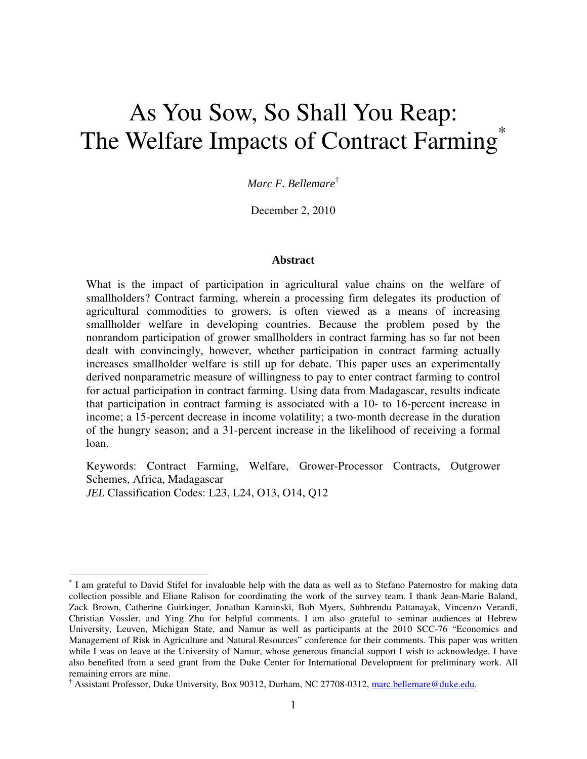# As You Sow, So Shall You Reap: The Welfare Impacts of Contract Farming<sup>\*</sup>

*Marc F. Bellemare*†

December 2, 2010

#### **Abstract**

What is the impact of participation in agricultural value chains on the welfare of smallholders? Contract farming, wherein a processing firm delegates its production of agricultural commodities to growers, is often viewed as a means of increasing smallholder welfare in developing countries. Because the problem posed by the nonrandom participation of grower smallholders in contract farming has so far not been dealt with convincingly, however, whether participation in contract farming actually increases smallholder welfare is still up for debate. This paper uses an experimentally derived nonparametric measure of willingness to pay to enter contract farming to control for actual participation in contract farming. Using data from Madagascar, results indicate that participation in contract farming is associated with a 10- to 16-percent increase in income; a 15-percent decrease in income volatility; a two-month decrease in the duration of the hungry season; and a 31-percent increase in the likelihood of receiving a formal loan.

Keywords: Contract Farming, Welfare, Grower-Processor Contracts, Outgrower Schemes, Africa, Madagascar *JEL* Classification Codes: L23, L24, O13, O14, Q12

 $\overline{a}$ 

<sup>\*</sup> I am grateful to David Stifel for invaluable help with the data as well as to Stefano Paternostro for making data collection possible and Eliane Ralison for coordinating the work of the survey team. I thank Jean-Marie Baland, Zack Brown, Catherine Guirkinger, Jonathan Kaminski, Bob Myers, Subhrendu Pattanayak, Vincenzo Verardi, Christian Vossler, and Ying Zhu for helpful comments. I am also grateful to seminar audiences at Hebrew University, Leuven, Michigan State, and Namur as well as participants at the 2010 SCC-76 "Economics and Management of Risk in Agriculture and Natural Resources" conference for their comments. This paper was written while I was on leave at the University of Namur, whose generous financial support I wish to acknowledge. I have also benefited from a seed grant from the Duke Center for International Development for preliminary work. All remaining errors are mine.

<sup>&</sup>lt;sup>†</sup> Assistant Professor, Duke University, Box 90312, Durham, NC 27708-0312, marc.bellemare@duke.edu.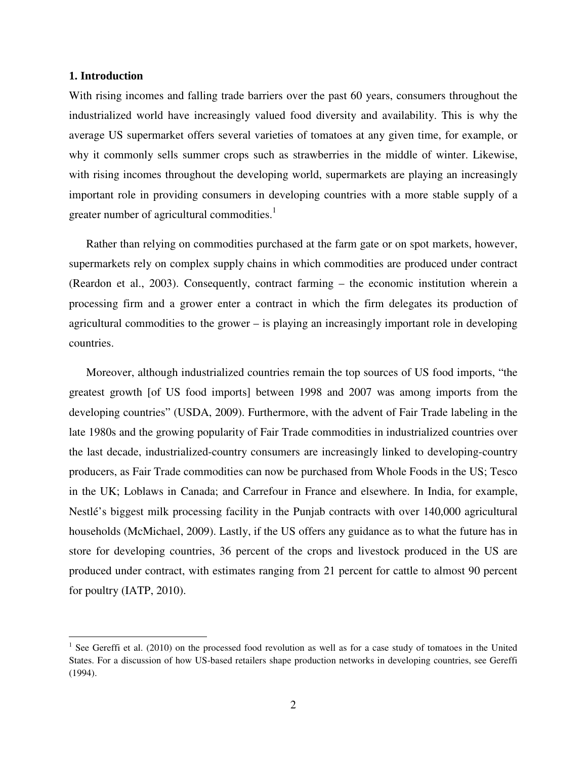#### **1. Introduction**

<u>.</u>

With rising incomes and falling trade barriers over the past 60 years, consumers throughout the industrialized world have increasingly valued food diversity and availability. This is why the average US supermarket offers several varieties of tomatoes at any given time, for example, or why it commonly sells summer crops such as strawberries in the middle of winter. Likewise, with rising incomes throughout the developing world, supermarkets are playing an increasingly important role in providing consumers in developing countries with a more stable supply of a greater number of agricultural commodities.<sup>1</sup>

Rather than relying on commodities purchased at the farm gate or on spot markets, however, supermarkets rely on complex supply chains in which commodities are produced under contract (Reardon et al., 2003). Consequently, contract farming – the economic institution wherein a processing firm and a grower enter a contract in which the firm delegates its production of agricultural commodities to the grower – is playing an increasingly important role in developing countries.

Moreover, although industrialized countries remain the top sources of US food imports, "the greatest growth [of US food imports] between 1998 and 2007 was among imports from the developing countries" (USDA, 2009). Furthermore, with the advent of Fair Trade labeling in the late 1980s and the growing popularity of Fair Trade commodities in industrialized countries over the last decade, industrialized-country consumers are increasingly linked to developing-country producers, as Fair Trade commodities can now be purchased from Whole Foods in the US; Tesco in the UK; Loblaws in Canada; and Carrefour in France and elsewhere. In India, for example, Nestlé's biggest milk processing facility in the Punjab contracts with over 140,000 agricultural households (McMichael, 2009). Lastly, if the US offers any guidance as to what the future has in store for developing countries, 36 percent of the crops and livestock produced in the US are produced under contract, with estimates ranging from 21 percent for cattle to almost 90 percent for poultry (IATP, 2010).

<sup>&</sup>lt;sup>1</sup> See Gereffi et al. (2010) on the processed food revolution as well as for a case study of tomatoes in the United States. For a discussion of how US-based retailers shape production networks in developing countries, see Gereffi (1994).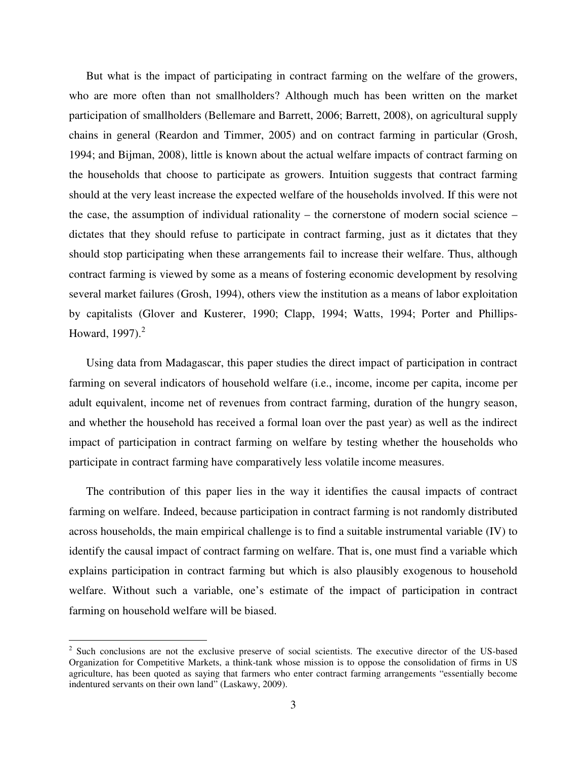But what is the impact of participating in contract farming on the welfare of the growers, who are more often than not smallholders? Although much has been written on the market participation of smallholders (Bellemare and Barrett, 2006; Barrett, 2008), on agricultural supply chains in general (Reardon and Timmer, 2005) and on contract farming in particular (Grosh, 1994; and Bijman, 2008), little is known about the actual welfare impacts of contract farming on the households that choose to participate as growers. Intuition suggests that contract farming should at the very least increase the expected welfare of the households involved. If this were not the case, the assumption of individual rationality – the cornerstone of modern social science – dictates that they should refuse to participate in contract farming, just as it dictates that they should stop participating when these arrangements fail to increase their welfare. Thus, although contract farming is viewed by some as a means of fostering economic development by resolving several market failures (Grosh, 1994), others view the institution as a means of labor exploitation by capitalists (Glover and Kusterer, 1990; Clapp, 1994; Watts, 1994; Porter and Phillips-Howard,  $1997$ ). $^2$ 

Using data from Madagascar, this paper studies the direct impact of participation in contract farming on several indicators of household welfare (i.e., income, income per capita, income per adult equivalent, income net of revenues from contract farming, duration of the hungry season, and whether the household has received a formal loan over the past year) as well as the indirect impact of participation in contract farming on welfare by testing whether the households who participate in contract farming have comparatively less volatile income measures.

The contribution of this paper lies in the way it identifies the causal impacts of contract farming on welfare. Indeed, because participation in contract farming is not randomly distributed across households, the main empirical challenge is to find a suitable instrumental variable (IV) to identify the causal impact of contract farming on welfare. That is, one must find a variable which explains participation in contract farming but which is also plausibly exogenous to household welfare. Without such a variable, one's estimate of the impact of participation in contract farming on household welfare will be biased.

 $\overline{a}$ 

<sup>&</sup>lt;sup>2</sup> Such conclusions are not the exclusive preserve of social scientists. The executive director of the US-based Organization for Competitive Markets, a think-tank whose mission is to oppose the consolidation of firms in US agriculture, has been quoted as saying that farmers who enter contract farming arrangements "essentially become indentured servants on their own land" (Laskawy, 2009).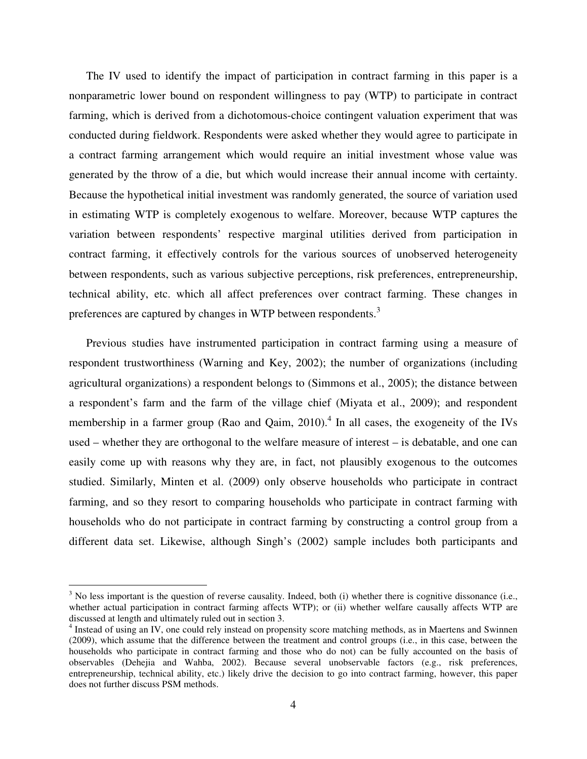The IV used to identify the impact of participation in contract farming in this paper is a nonparametric lower bound on respondent willingness to pay (WTP) to participate in contract farming, which is derived from a dichotomous-choice contingent valuation experiment that was conducted during fieldwork. Respondents were asked whether they would agree to participate in a contract farming arrangement which would require an initial investment whose value was generated by the throw of a die, but which would increase their annual income with certainty. Because the hypothetical initial investment was randomly generated, the source of variation used in estimating WTP is completely exogenous to welfare. Moreover, because WTP captures the variation between respondents' respective marginal utilities derived from participation in contract farming, it effectively controls for the various sources of unobserved heterogeneity between respondents, such as various subjective perceptions, risk preferences, entrepreneurship, technical ability, etc. which all affect preferences over contract farming. These changes in preferences are captured by changes in WTP between respondents.<sup>3</sup>

Previous studies have instrumented participation in contract farming using a measure of respondent trustworthiness (Warning and Key, 2002); the number of organizations (including agricultural organizations) a respondent belongs to (Simmons et al., 2005); the distance between a respondent's farm and the farm of the village chief (Miyata et al., 2009); and respondent membership in a farmer group (Rao and Qaim, 2010).<sup>4</sup> In all cases, the exogeneity of the IVs used – whether they are orthogonal to the welfare measure of interest – is debatable, and one can easily come up with reasons why they are, in fact, not plausibly exogenous to the outcomes studied. Similarly, Minten et al. (2009) only observe households who participate in contract farming, and so they resort to comparing households who participate in contract farming with households who do not participate in contract farming by constructing a control group from a different data set. Likewise, although Singh's (2002) sample includes both participants and

 $\overline{a}$ 

 $3$  No less important is the question of reverse causality. Indeed, both (i) whether there is cognitive dissonance (i.e., whether actual participation in contract farming affects WTP); or (ii) whether welfare causally affects WTP are discussed at length and ultimately ruled out in section 3.

<sup>&</sup>lt;sup>4</sup> Instead of using an IV, one could rely instead on propensity score matching methods, as in Maertens and Swinnen (2009), which assume that the difference between the treatment and control groups (i.e., in this case, between the households who participate in contract farming and those who do not) can be fully accounted on the basis of observables (Dehejia and Wahba, 2002). Because several unobservable factors (e.g., risk preferences, entrepreneurship, technical ability, etc.) likely drive the decision to go into contract farming, however, this paper does not further discuss PSM methods.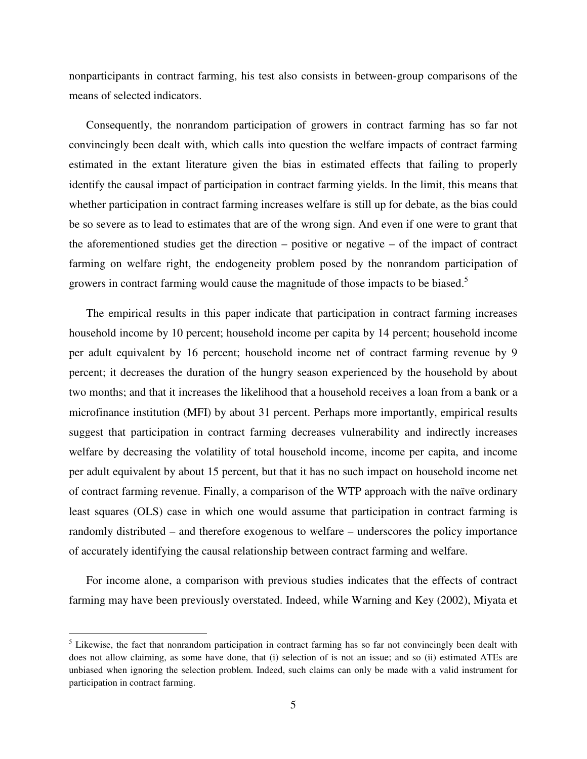nonparticipants in contract farming, his test also consists in between-group comparisons of the means of selected indicators.

Consequently, the nonrandom participation of growers in contract farming has so far not convincingly been dealt with, which calls into question the welfare impacts of contract farming estimated in the extant literature given the bias in estimated effects that failing to properly identify the causal impact of participation in contract farming yields. In the limit, this means that whether participation in contract farming increases welfare is still up for debate, as the bias could be so severe as to lead to estimates that are of the wrong sign. And even if one were to grant that the aforementioned studies get the direction – positive or negative – of the impact of contract farming on welfare right, the endogeneity problem posed by the nonrandom participation of growers in contract farming would cause the magnitude of those impacts to be biased.<sup>5</sup>

The empirical results in this paper indicate that participation in contract farming increases household income by 10 percent; household income per capita by 14 percent; household income per adult equivalent by 16 percent; household income net of contract farming revenue by 9 percent; it decreases the duration of the hungry season experienced by the household by about two months; and that it increases the likelihood that a household receives a loan from a bank or a microfinance institution (MFI) by about 31 percent. Perhaps more importantly, empirical results suggest that participation in contract farming decreases vulnerability and indirectly increases welfare by decreasing the volatility of total household income, income per capita, and income per adult equivalent by about 15 percent, but that it has no such impact on household income net of contract farming revenue. Finally, a comparison of the WTP approach with the naïve ordinary least squares (OLS) case in which one would assume that participation in contract farming is randomly distributed – and therefore exogenous to welfare – underscores the policy importance of accurately identifying the causal relationship between contract farming and welfare.

For income alone, a comparison with previous studies indicates that the effects of contract farming may have been previously overstated. Indeed, while Warning and Key (2002), Miyata et

-

<sup>&</sup>lt;sup>5</sup> Likewise, the fact that nonrandom participation in contract farming has so far not convincingly been dealt with does not allow claiming, as some have done, that (i) selection of is not an issue; and so (ii) estimated ATEs are unbiased when ignoring the selection problem. Indeed, such claims can only be made with a valid instrument for participation in contract farming.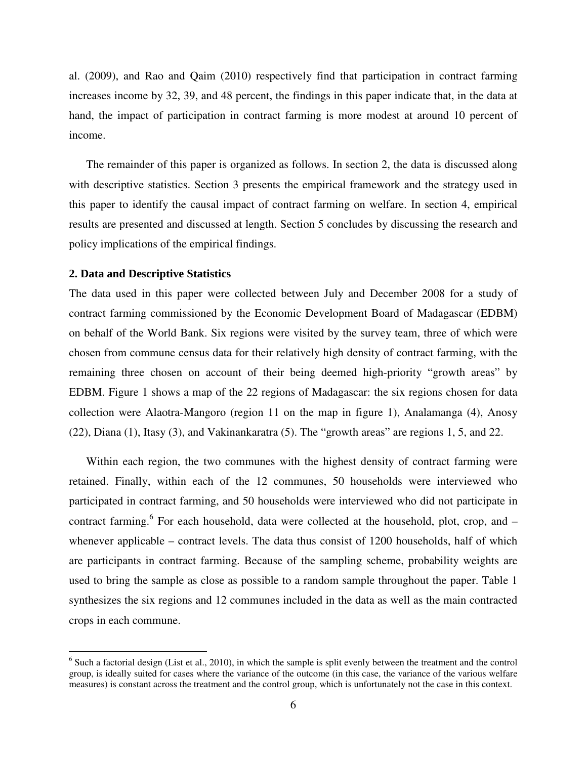al. (2009), and Rao and Qaim (2010) respectively find that participation in contract farming increases income by 32, 39, and 48 percent, the findings in this paper indicate that, in the data at hand, the impact of participation in contract farming is more modest at around 10 percent of income.

The remainder of this paper is organized as follows. In section 2, the data is discussed along with descriptive statistics. Section 3 presents the empirical framework and the strategy used in this paper to identify the causal impact of contract farming on welfare. In section 4, empirical results are presented and discussed at length. Section 5 concludes by discussing the research and policy implications of the empirical findings.

#### **2. Data and Descriptive Statistics**

<u>.</u>

The data used in this paper were collected between July and December 2008 for a study of contract farming commissioned by the Economic Development Board of Madagascar (EDBM) on behalf of the World Bank. Six regions were visited by the survey team, three of which were chosen from commune census data for their relatively high density of contract farming, with the remaining three chosen on account of their being deemed high-priority "growth areas" by EDBM. Figure 1 shows a map of the 22 regions of Madagascar: the six regions chosen for data collection were Alaotra-Mangoro (region 11 on the map in figure 1), Analamanga (4), Anosy (22), Diana (1), Itasy (3), and Vakinankaratra (5). The "growth areas" are regions 1, 5, and 22.

Within each region, the two communes with the highest density of contract farming were retained. Finally, within each of the 12 communes, 50 households were interviewed who participated in contract farming, and 50 households were interviewed who did not participate in contract farming.<sup>6</sup> For each household, data were collected at the household, plot, crop, and whenever applicable – contract levels. The data thus consist of 1200 households, half of which are participants in contract farming. Because of the sampling scheme, probability weights are used to bring the sample as close as possible to a random sample throughout the paper. Table 1 synthesizes the six regions and 12 communes included in the data as well as the main contracted crops in each commune.

 $<sup>6</sup>$  Such a factorial design (List et al., 2010), in which the sample is split evenly between the treatment and the control</sup> group, is ideally suited for cases where the variance of the outcome (in this case, the variance of the various welfare measures) is constant across the treatment and the control group, which is unfortunately not the case in this context.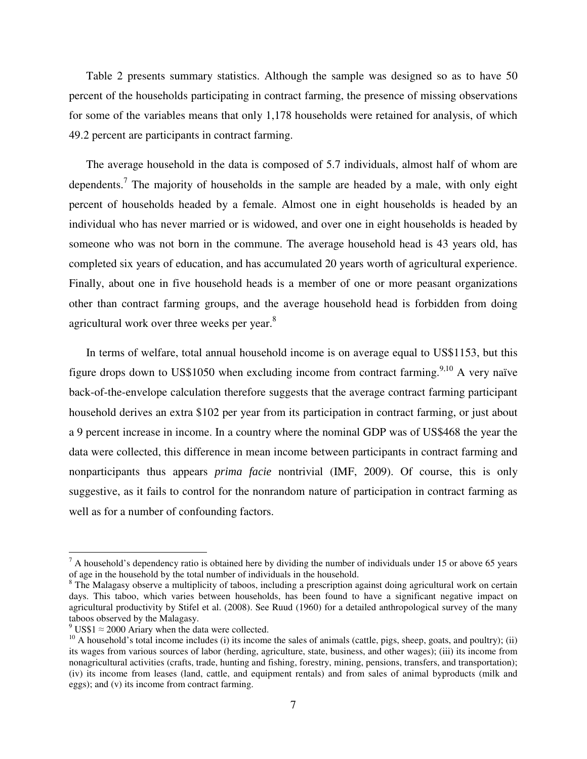Table 2 presents summary statistics. Although the sample was designed so as to have 50 percent of the households participating in contract farming, the presence of missing observations for some of the variables means that only 1,178 households were retained for analysis, of which 49.2 percent are participants in contract farming.

The average household in the data is composed of 5.7 individuals, almost half of whom are dependents.<sup>7</sup> The majority of households in the sample are headed by a male, with only eight percent of households headed by a female. Almost one in eight households is headed by an individual who has never married or is widowed, and over one in eight households is headed by someone who was not born in the commune. The average household head is 43 years old, has completed six years of education, and has accumulated 20 years worth of agricultural experience. Finally, about one in five household heads is a member of one or more peasant organizations other than contract farming groups, and the average household head is forbidden from doing agricultural work over three weeks per year.<sup>8</sup>

In terms of welfare, total annual household income is on average equal to US\$1153, but this figure drops down to US\$1050 when excluding income from contract farming.<sup>9,10</sup> A very naïve back-of-the-envelope calculation therefore suggests that the average contract farming participant household derives an extra \$102 per year from its participation in contract farming, or just about a 9 percent increase in income. In a country where the nominal GDP was of US\$468 the year the data were collected, this difference in mean income between participants in contract farming and nonparticipants thus appears *prima facie* nontrivial (IMF, 2009). Of course, this is only suggestive, as it fails to control for the nonrandom nature of participation in contract farming as well as for a number of confounding factors.

 $\overline{a}$ 

 $<sup>7</sup>$  A household's dependency ratio is obtained here by dividing the number of individuals under 15 or above 65 years</sup> of age in the household by the total number of individuals in the household.

<sup>&</sup>lt;sup>8</sup> The Malagasy observe a multiplicity of taboos, including a prescription against doing agricultural work on certain days. This taboo, which varies between households, has been found to have a significant negative impact on agricultural productivity by Stifel et al. (2008). See Ruud (1960) for a detailed anthropological survey of the many taboos observed by the Malagasy.

 $9 \text{ US}\$1 \approx 2000$  Ariary when the data were collected.

 $10$  A household's total income includes (i) its income the sales of animals (cattle, pigs, sheep, goats, and poultry); (ii) its wages from various sources of labor (herding, agriculture, state, business, and other wages); (iii) its income from nonagricultural activities (crafts, trade, hunting and fishing, forestry, mining, pensions, transfers, and transportation); (iv) its income from leases (land, cattle, and equipment rentals) and from sales of animal byproducts (milk and eggs); and (v) its income from contract farming.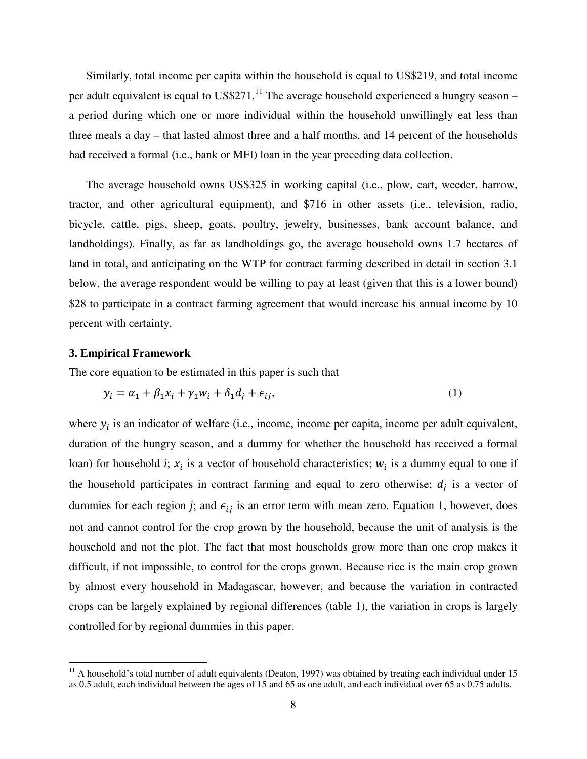Similarly, total income per capita within the household is equal to US\$219, and total income per adult equivalent is equal to  $USS271$ .<sup>11</sup> The average household experienced a hungry season – a period during which one or more individual within the household unwillingly eat less than three meals a day – that lasted almost three and a half months, and 14 percent of the households had received a formal (i.e., bank or MFI) loan in the year preceding data collection.

The average household owns US\$325 in working capital (i.e., plow, cart, weeder, harrow, tractor, and other agricultural equipment), and \$716 in other assets (i.e., television, radio, bicycle, cattle, pigs, sheep, goats, poultry, jewelry, businesses, bank account balance, and landholdings). Finally, as far as landholdings go, the average household owns 1.7 hectares of land in total, and anticipating on the WTP for contract farming described in detail in section 3.1 below, the average respondent would be willing to pay at least (given that this is a lower bound) \$28 to participate in a contract farming agreement that would increase his annual income by 10 percent with certainty.

#### **3. Empirical Framework**

<u>.</u>

The core equation to be estimated in this paper is such that

$$
y_i = \alpha_1 + \beta_1 x_i + \gamma_1 w_i + \delta_1 d_j + \epsilon_{ij},\tag{1}
$$

where  $y_i$  is an indicator of welfare (i.e., income, income per capita, income per adult equivalent, duration of the hungry season, and a dummy for whether the household has received a formal loan) for household *i*;  $x_i$  is a vector of household characteristics;  $w_i$  is a dummy equal to one if the household participates in contract farming and equal to zero otherwise;  $d_j$  is a vector of dummies for each region *j*; and  $\epsilon_{ij}$  is an error term with mean zero. Equation 1, however, does not and cannot control for the crop grown by the household, because the unit of analysis is the household and not the plot. The fact that most households grow more than one crop makes it difficult, if not impossible, to control for the crops grown. Because rice is the main crop grown by almost every household in Madagascar, however, and because the variation in contracted crops can be largely explained by regional differences (table 1), the variation in crops is largely controlled for by regional dummies in this paper.

 $11$  A household's total number of adult equivalents (Deaton, 1997) was obtained by treating each individual under 15 as 0.5 adult, each individual between the ages of 15 and 65 as one adult, and each individual over 65 as 0.75 adults.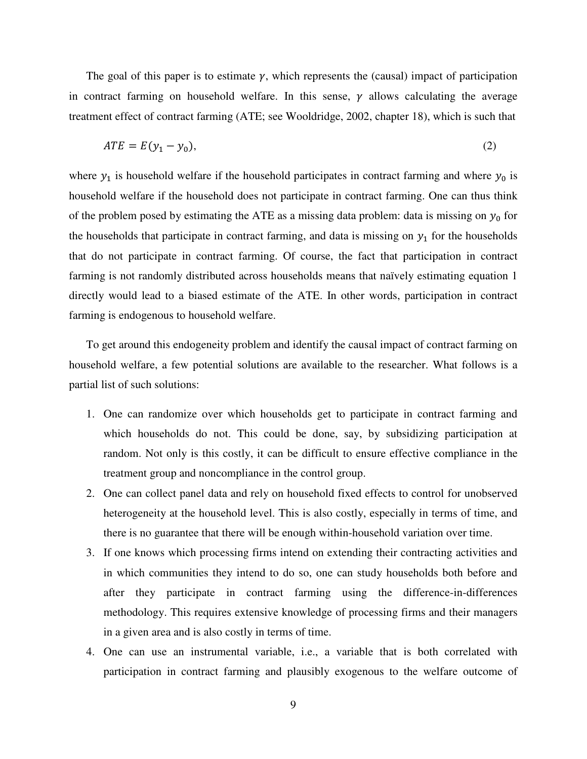The goal of this paper is to estimate  $\gamma$ , which represents the (causal) impact of participation in contract farming on household welfare. In this sense,  $\gamma$  allows calculating the average treatment effect of contract farming (ATE; see Wooldridge, 2002, chapter 18), which is such that

$$
ATE = E(y_1 - y_0),\tag{2}
$$

where  $y_1$  is household welfare if the household participates in contract farming and where  $y_0$  is household welfare if the household does not participate in contract farming. One can thus think of the problem posed by estimating the ATE as a missing data problem: data is missing on  $y_0$  for the households that participate in contract farming, and data is missing on  $y_1$  for the households that do not participate in contract farming. Of course, the fact that participation in contract farming is not randomly distributed across households means that naïvely estimating equation 1 directly would lead to a biased estimate of the ATE. In other words, participation in contract farming is endogenous to household welfare.

To get around this endogeneity problem and identify the causal impact of contract farming on household welfare, a few potential solutions are available to the researcher. What follows is a partial list of such solutions:

- 1. One can randomize over which households get to participate in contract farming and which households do not. This could be done, say, by subsidizing participation at random. Not only is this costly, it can be difficult to ensure effective compliance in the treatment group and noncompliance in the control group.
- 2. One can collect panel data and rely on household fixed effects to control for unobserved heterogeneity at the household level. This is also costly, especially in terms of time, and there is no guarantee that there will be enough within-household variation over time.
- 3. If one knows which processing firms intend on extending their contracting activities and in which communities they intend to do so, one can study households both before and after they participate in contract farming using the difference-in-differences methodology. This requires extensive knowledge of processing firms and their managers in a given area and is also costly in terms of time.
- 4. One can use an instrumental variable, i.e., a variable that is both correlated with participation in contract farming and plausibly exogenous to the welfare outcome of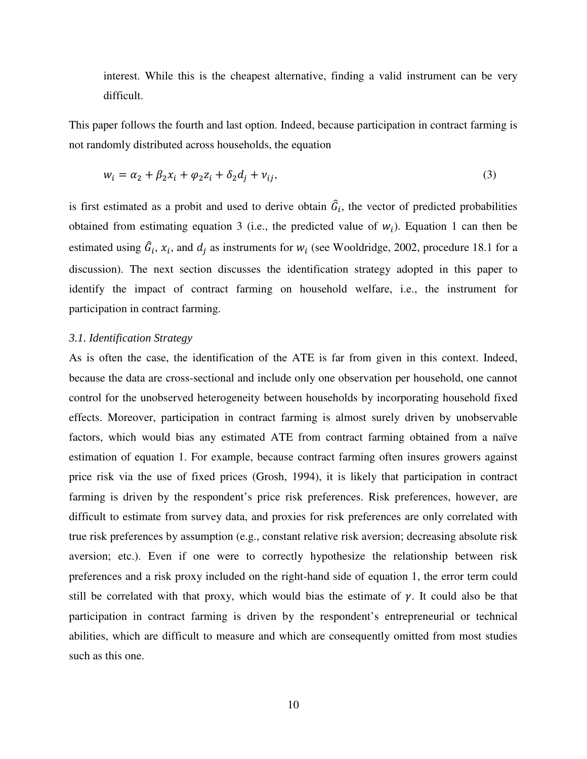interest. While this is the cheapest alternative, finding a valid instrument can be very difficult.

This paper follows the fourth and last option. Indeed, because participation in contract farming is not randomly distributed across households, the equation

$$
w_i = \alpha_2 + \beta_2 x_i + \varphi_2 z_i + \delta_2 d_j + \nu_{ij},\tag{3}
$$

is first estimated as a probit and used to derive obtain  $\hat{G}_i$ , the vector of predicted probabilities obtained from estimating equation 3 (i.e., the predicted value of  $w_i$ ). Equation 1 can then be estimated using  $\hat{G}_i$ ,  $x_i$ , and  $d_j$  as instruments for  $w_i$  (see Wooldridge, 2002, procedure 18.1 for a discussion). The next section discusses the identification strategy adopted in this paper to identify the impact of contract farming on household welfare, i.e., the instrument for participation in contract farming.

## *3.1. Identification Strategy*

As is often the case, the identification of the ATE is far from given in this context. Indeed, because the data are cross-sectional and include only one observation per household, one cannot control for the unobserved heterogeneity between households by incorporating household fixed effects. Moreover, participation in contract farming is almost surely driven by unobservable factors, which would bias any estimated ATE from contract farming obtained from a naïve estimation of equation 1. For example, because contract farming often insures growers against price risk via the use of fixed prices (Grosh, 1994), it is likely that participation in contract farming is driven by the respondent's price risk preferences. Risk preferences, however, are difficult to estimate from survey data, and proxies for risk preferences are only correlated with true risk preferences by assumption (e.g., constant relative risk aversion; decreasing absolute risk aversion; etc.). Even if one were to correctly hypothesize the relationship between risk preferences and a risk proxy included on the right-hand side of equation 1, the error term could still be correlated with that proxy, which would bias the estimate of  $\gamma$ . It could also be that participation in contract farming is driven by the respondent's entrepreneurial or technical abilities, which are difficult to measure and which are consequently omitted from most studies such as this one.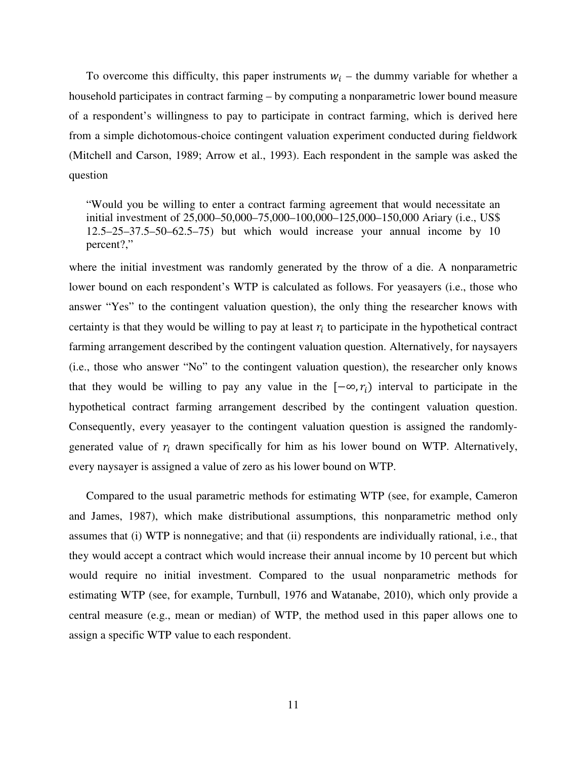To overcome this difficulty, this paper instruments  $w_i$  – the dummy variable for whether a household participates in contract farming – by computing a nonparametric lower bound measure of a respondent's willingness to pay to participate in contract farming, which is derived here from a simple dichotomous-choice contingent valuation experiment conducted during fieldwork (Mitchell and Carson, 1989; Arrow et al., 1993). Each respondent in the sample was asked the question

"Would you be willing to enter a contract farming agreement that would necessitate an initial investment of 25,000–50,000–75,000–100,000–125,000–150,000 Ariary (i.e., US\$ 12.5–25–37.5–50–62.5–75) but which would increase your annual income by 10 percent?,"

where the initial investment was randomly generated by the throw of a die. A nonparametric lower bound on each respondent's WTP is calculated as follows. For yeasayers (i.e., those who answer "Yes" to the contingent valuation question), the only thing the researcher knows with certainty is that they would be willing to pay at least  $r_i$  to participate in the hypothetical contract farming arrangement described by the contingent valuation question. Alternatively, for naysayers (i.e., those who answer "No" to the contingent valuation question), the researcher only knows that they would be willing to pay any value in the  $[-\infty, r_i]$  interval to participate in the hypothetical contract farming arrangement described by the contingent valuation question. Consequently, every yeasayer to the contingent valuation question is assigned the randomlygenerated value of  $r_i$  drawn specifically for him as his lower bound on WTP. Alternatively, every naysayer is assigned a value of zero as his lower bound on WTP.

Compared to the usual parametric methods for estimating WTP (see, for example, Cameron and James, 1987), which make distributional assumptions, this nonparametric method only assumes that (i) WTP is nonnegative; and that (ii) respondents are individually rational, i.e., that they would accept a contract which would increase their annual income by 10 percent but which would require no initial investment. Compared to the usual nonparametric methods for estimating WTP (see, for example, Turnbull, 1976 and Watanabe, 2010), which only provide a central measure (e.g., mean or median) of WTP, the method used in this paper allows one to assign a specific WTP value to each respondent.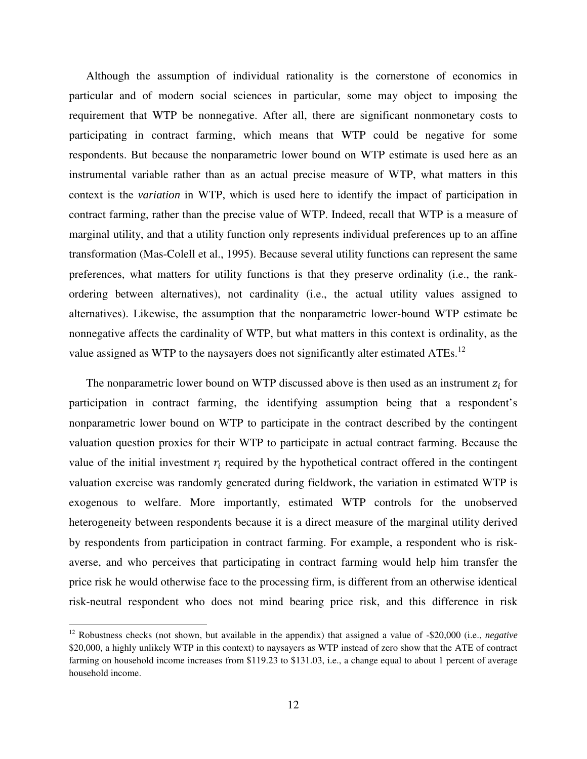Although the assumption of individual rationality is the cornerstone of economics in particular and of modern social sciences in particular, some may object to imposing the requirement that WTP be nonnegative. After all, there are significant nonmonetary costs to participating in contract farming, which means that WTP could be negative for some respondents. But because the nonparametric lower bound on WTP estimate is used here as an instrumental variable rather than as an actual precise measure of WTP, what matters in this context is the *variation* in WTP, which is used here to identify the impact of participation in contract farming, rather than the precise value of WTP. Indeed, recall that WTP is a measure of marginal utility, and that a utility function only represents individual preferences up to an affine transformation (Mas-Colell et al., 1995). Because several utility functions can represent the same preferences, what matters for utility functions is that they preserve ordinality (i.e., the rankordering between alternatives), not cardinality (i.e., the actual utility values assigned to alternatives). Likewise, the assumption that the nonparametric lower-bound WTP estimate be nonnegative affects the cardinality of WTP, but what matters in this context is ordinality, as the value assigned as WTP to the naysayers does not significantly alter estimated ATEs.<sup>12</sup>

The nonparametric lower bound on WTP discussed above is then used as an instrument  $z_i$  for participation in contract farming, the identifying assumption being that a respondent's nonparametric lower bound on WTP to participate in the contract described by the contingent valuation question proxies for their WTP to participate in actual contract farming. Because the value of the initial investment  $r_i$  required by the hypothetical contract offered in the contingent valuation exercise was randomly generated during fieldwork, the variation in estimated WTP is exogenous to welfare. More importantly, estimated WTP controls for the unobserved heterogeneity between respondents because it is a direct measure of the marginal utility derived by respondents from participation in contract farming. For example, a respondent who is riskaverse, and who perceives that participating in contract farming would help him transfer the price risk he would otherwise face to the processing firm, is different from an otherwise identical risk-neutral respondent who does not mind bearing price risk, and this difference in risk

<u>.</u>

<sup>12</sup> Robustness checks (not shown, but available in the appendix) that assigned a value of -\$20,000 (i.e., *negative* \$20,000, a highly unlikely WTP in this context) to naysayers as WTP instead of zero show that the ATE of contract farming on household income increases from \$119.23 to \$131.03, i.e., a change equal to about 1 percent of average household income.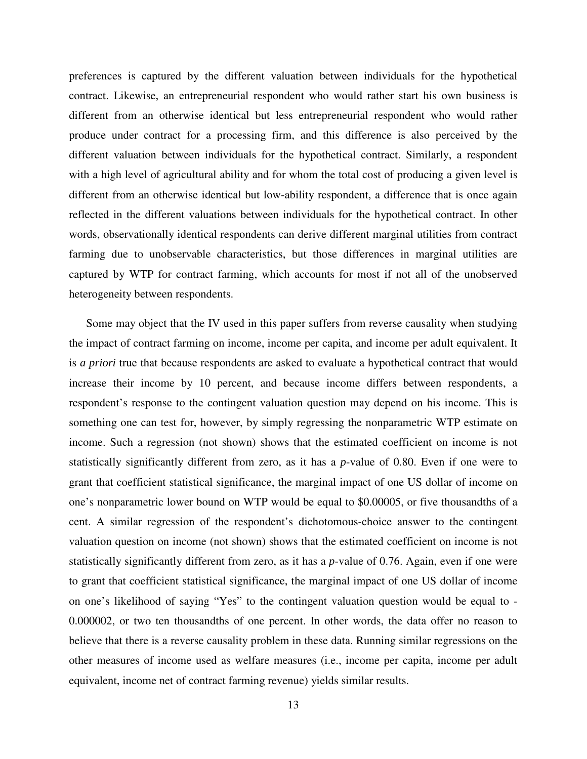preferences is captured by the different valuation between individuals for the hypothetical contract. Likewise, an entrepreneurial respondent who would rather start his own business is different from an otherwise identical but less entrepreneurial respondent who would rather produce under contract for a processing firm, and this difference is also perceived by the different valuation between individuals for the hypothetical contract. Similarly, a respondent with a high level of agricultural ability and for whom the total cost of producing a given level is different from an otherwise identical but low-ability respondent, a difference that is once again reflected in the different valuations between individuals for the hypothetical contract. In other words, observationally identical respondents can derive different marginal utilities from contract farming due to unobservable characteristics, but those differences in marginal utilities are captured by WTP for contract farming, which accounts for most if not all of the unobserved heterogeneity between respondents.

Some may object that the IV used in this paper suffers from reverse causality when studying the impact of contract farming on income, income per capita, and income per adult equivalent. It is *a priori* true that because respondents are asked to evaluate a hypothetical contract that would increase their income by 10 percent, and because income differs between respondents, a respondent's response to the contingent valuation question may depend on his income. This is something one can test for, however, by simply regressing the nonparametric WTP estimate on income. Such a regression (not shown) shows that the estimated coefficient on income is not statistically significantly different from zero, as it has a *p*-value of 0.80. Even if one were to grant that coefficient statistical significance, the marginal impact of one US dollar of income on one's nonparametric lower bound on WTP would be equal to \$0.00005, or five thousandths of a cent. A similar regression of the respondent's dichotomous-choice answer to the contingent valuation question on income (not shown) shows that the estimated coefficient on income is not statistically significantly different from zero, as it has a *p*-value of 0.76. Again, even if one were to grant that coefficient statistical significance, the marginal impact of one US dollar of income on one's likelihood of saying "Yes" to the contingent valuation question would be equal to - 0.000002, or two ten thousandths of one percent. In other words, the data offer no reason to believe that there is a reverse causality problem in these data. Running similar regressions on the other measures of income used as welfare measures (i.e., income per capita, income per adult equivalent, income net of contract farming revenue) yields similar results.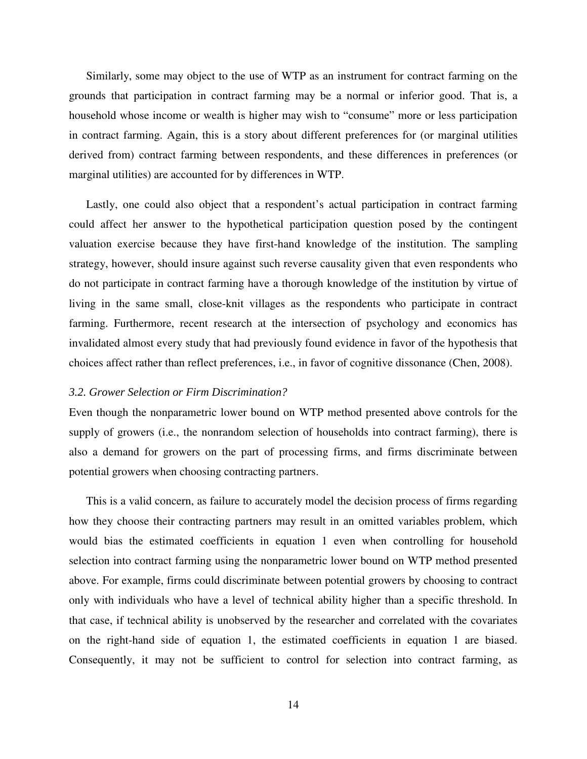Similarly, some may object to the use of WTP as an instrument for contract farming on the grounds that participation in contract farming may be a normal or inferior good. That is, a household whose income or wealth is higher may wish to "consume" more or less participation in contract farming. Again, this is a story about different preferences for (or marginal utilities derived from) contract farming between respondents, and these differences in preferences (or marginal utilities) are accounted for by differences in WTP.

Lastly, one could also object that a respondent's actual participation in contract farming could affect her answer to the hypothetical participation question posed by the contingent valuation exercise because they have first-hand knowledge of the institution. The sampling strategy, however, should insure against such reverse causality given that even respondents who do not participate in contract farming have a thorough knowledge of the institution by virtue of living in the same small, close-knit villages as the respondents who participate in contract farming. Furthermore, recent research at the intersection of psychology and economics has invalidated almost every study that had previously found evidence in favor of the hypothesis that choices affect rather than reflect preferences, i.e., in favor of cognitive dissonance (Chen, 2008).

#### *3.2. Grower Selection or Firm Discrimination?*

Even though the nonparametric lower bound on WTP method presented above controls for the supply of growers (i.e., the nonrandom selection of households into contract farming), there is also a demand for growers on the part of processing firms, and firms discriminate between potential growers when choosing contracting partners.

This is a valid concern, as failure to accurately model the decision process of firms regarding how they choose their contracting partners may result in an omitted variables problem, which would bias the estimated coefficients in equation 1 even when controlling for household selection into contract farming using the nonparametric lower bound on WTP method presented above. For example, firms could discriminate between potential growers by choosing to contract only with individuals who have a level of technical ability higher than a specific threshold. In that case, if technical ability is unobserved by the researcher and correlated with the covariates on the right-hand side of equation 1, the estimated coefficients in equation 1 are biased. Consequently, it may not be sufficient to control for selection into contract farming, as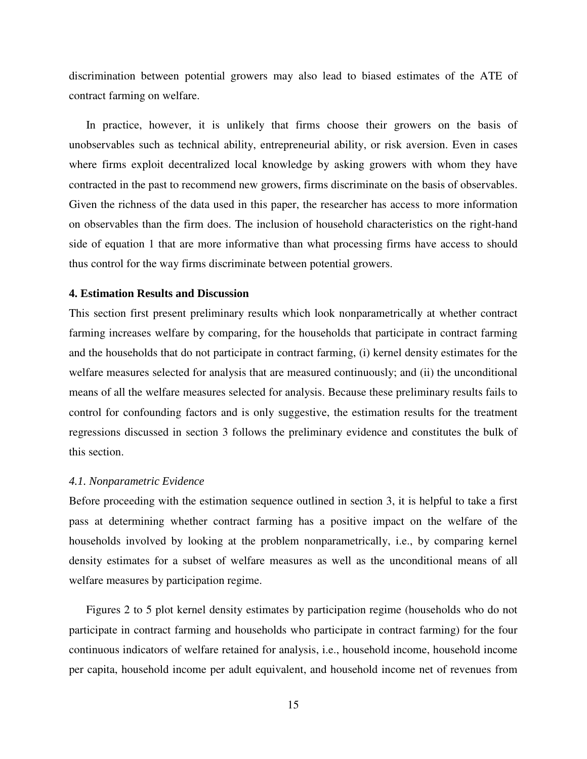discrimination between potential growers may also lead to biased estimates of the ATE of contract farming on welfare.

In practice, however, it is unlikely that firms choose their growers on the basis of unobservables such as technical ability, entrepreneurial ability, or risk aversion. Even in cases where firms exploit decentralized local knowledge by asking growers with whom they have contracted in the past to recommend new growers, firms discriminate on the basis of observables. Given the richness of the data used in this paper, the researcher has access to more information on observables than the firm does. The inclusion of household characteristics on the right-hand side of equation 1 that are more informative than what processing firms have access to should thus control for the way firms discriminate between potential growers.

## **4. Estimation Results and Discussion**

This section first present preliminary results which look nonparametrically at whether contract farming increases welfare by comparing, for the households that participate in contract farming and the households that do not participate in contract farming, (i) kernel density estimates for the welfare measures selected for analysis that are measured continuously; and (ii) the unconditional means of all the welfare measures selected for analysis. Because these preliminary results fails to control for confounding factors and is only suggestive, the estimation results for the treatment regressions discussed in section 3 follows the preliminary evidence and constitutes the bulk of this section.

#### *4.1. Nonparametric Evidence*

Before proceeding with the estimation sequence outlined in section 3, it is helpful to take a first pass at determining whether contract farming has a positive impact on the welfare of the households involved by looking at the problem nonparametrically, i.e., by comparing kernel density estimates for a subset of welfare measures as well as the unconditional means of all welfare measures by participation regime.

Figures 2 to 5 plot kernel density estimates by participation regime (households who do not participate in contract farming and households who participate in contract farming) for the four continuous indicators of welfare retained for analysis, i.e., household income, household income per capita, household income per adult equivalent, and household income net of revenues from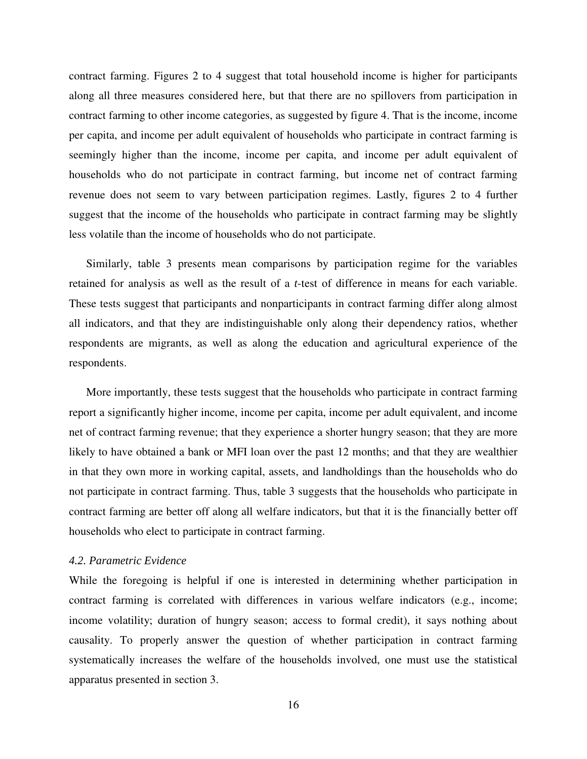contract farming. Figures 2 to 4 suggest that total household income is higher for participants along all three measures considered here, but that there are no spillovers from participation in contract farming to other income categories, as suggested by figure 4. That is the income, income per capita, and income per adult equivalent of households who participate in contract farming is seemingly higher than the income, income per capita, and income per adult equivalent of households who do not participate in contract farming, but income net of contract farming revenue does not seem to vary between participation regimes. Lastly, figures 2 to 4 further suggest that the income of the households who participate in contract farming may be slightly less volatile than the income of households who do not participate.

Similarly, table 3 presents mean comparisons by participation regime for the variables retained for analysis as well as the result of a *t*-test of difference in means for each variable. These tests suggest that participants and nonparticipants in contract farming differ along almost all indicators, and that they are indistinguishable only along their dependency ratios, whether respondents are migrants, as well as along the education and agricultural experience of the respondents.

More importantly, these tests suggest that the households who participate in contract farming report a significantly higher income, income per capita, income per adult equivalent, and income net of contract farming revenue; that they experience a shorter hungry season; that they are more likely to have obtained a bank or MFI loan over the past 12 months; and that they are wealthier in that they own more in working capital, assets, and landholdings than the households who do not participate in contract farming. Thus, table 3 suggests that the households who participate in contract farming are better off along all welfare indicators, but that it is the financially better off households who elect to participate in contract farming.

#### *4.2. Parametric Evidence*

While the foregoing is helpful if one is interested in determining whether participation in contract farming is correlated with differences in various welfare indicators (e.g., income; income volatility; duration of hungry season; access to formal credit), it says nothing about causality. To properly answer the question of whether participation in contract farming systematically increases the welfare of the households involved, one must use the statistical apparatus presented in section 3.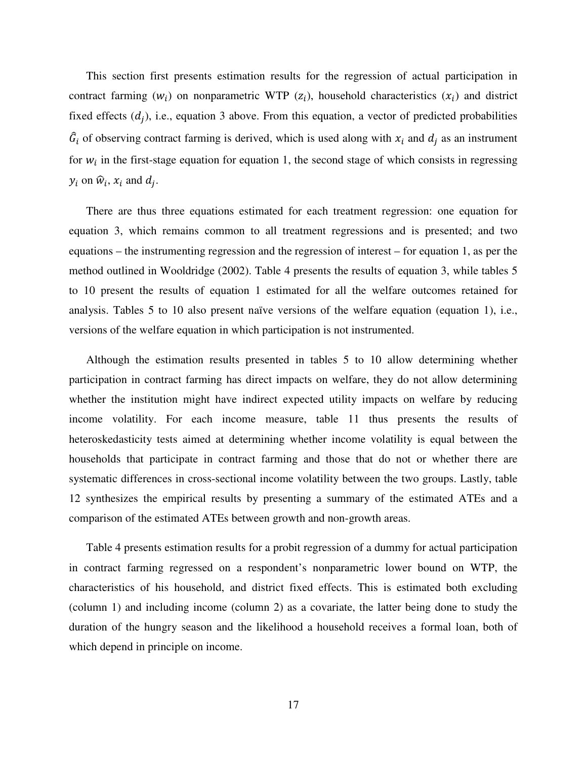This section first presents estimation results for the regression of actual participation in contract farming  $(w_i)$  on nonparametric WTP  $(z_i)$ , household characteristics  $(x_i)$  and district fixed effects  $(d_j)$ , i.e., equation 3 above. From this equation, a vector of predicted probabilities  $\hat{G}_i$  of observing contract farming is derived, which is used along with  $x_i$  and  $d_j$  as an instrument for  $w_i$  in the first-stage equation for equation 1, the second stage of which consists in regressing  $y_i$  on  $\hat{w}_i$ ,  $x_i$  and  $d_j$ .

There are thus three equations estimated for each treatment regression: one equation for equation 3, which remains common to all treatment regressions and is presented; and two equations – the instrumenting regression and the regression of interest – for equation 1, as per the method outlined in Wooldridge (2002). Table 4 presents the results of equation 3, while tables 5 to 10 present the results of equation 1 estimated for all the welfare outcomes retained for analysis. Tables 5 to 10 also present naïve versions of the welfare equation (equation 1), i.e., versions of the welfare equation in which participation is not instrumented.

Although the estimation results presented in tables 5 to 10 allow determining whether participation in contract farming has direct impacts on welfare, they do not allow determining whether the institution might have indirect expected utility impacts on welfare by reducing income volatility. For each income measure, table 11 thus presents the results of heteroskedasticity tests aimed at determining whether income volatility is equal between the households that participate in contract farming and those that do not or whether there are systematic differences in cross-sectional income volatility between the two groups. Lastly, table 12 synthesizes the empirical results by presenting a summary of the estimated ATEs and a comparison of the estimated ATEs between growth and non-growth areas.

Table 4 presents estimation results for a probit regression of a dummy for actual participation in contract farming regressed on a respondent's nonparametric lower bound on WTP, the characteristics of his household, and district fixed effects. This is estimated both excluding (column 1) and including income (column 2) as a covariate, the latter being done to study the duration of the hungry season and the likelihood a household receives a formal loan, both of which depend in principle on income.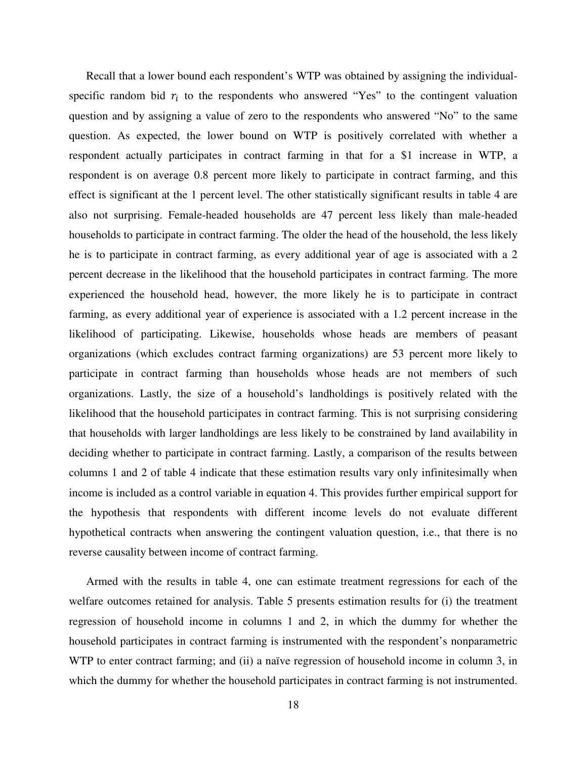Recall that a lower bound each respondent's WTP was obtained by assigning the individualspecific random bid  $r_i$  to the respondents who answered "Yes" to the contingent valuation question and by assigning a value of zero to the respondents who answered "No" to the same question. As expected, the lower bound on WTP is positively correlated with whether a respondent actually participates in contract farming in that for a \$1 increase in WTP, a respondent is on average 0.8 percent more likely to participate in contract farming, and this effect is significant at the 1 percent level. The other statistically significant results in table 4 are also not surprising. Female-headed households are 47 percent less likely than male-headed households to participate in contract farming. The older the head of the household, the less likely he is to participate in contract farming, as every additional year of age is associated with a 2 percent decrease in the likelihood that the household participates in contract farming. The more experienced the household head, however, the more likely he is to participate in contract farming, as every additional year of experience is associated with a 1.2 percent increase in the likelihood of participating. Likewise, households whose heads are members of peasant organizations (which excludes contract farming organizations) are 53 percent more likely to participate in contract farming than households whose heads are not members of such organizations. Lastly, the size of a household's landholdings is positively related with the likelihood that the household participates in contract farming. This is not surprising considering that households with larger landholdings are less likely to be constrained by land availability in deciding whether to participate in contract farming. Lastly, a comparison of the results between columns 1 and 2 of table 4 indicate that these estimation results vary only infinitesimally when income is included as a control variable in equation 4. This provides further empirical support for the hypothesis that respondents with different income levels do not evaluate different hypothetical contracts when answering the contingent valuation question, i.e., that there is no reverse causality between income of contract farming.

Armed with the results in table 4, one can estimate treatment regressions for each of the welfare outcomes retained for analysis. Table 5 presents estimation results for (i) the treatment regression of household income in columns 1 and 2, in which the dummy for whether the household participates in contract farming is instrumented with the respondent's nonparametric WTP to enter contract farming; and (ii) a naïve regression of household income in column 3, in which the dummy for whether the household participates in contract farming is not instrumented.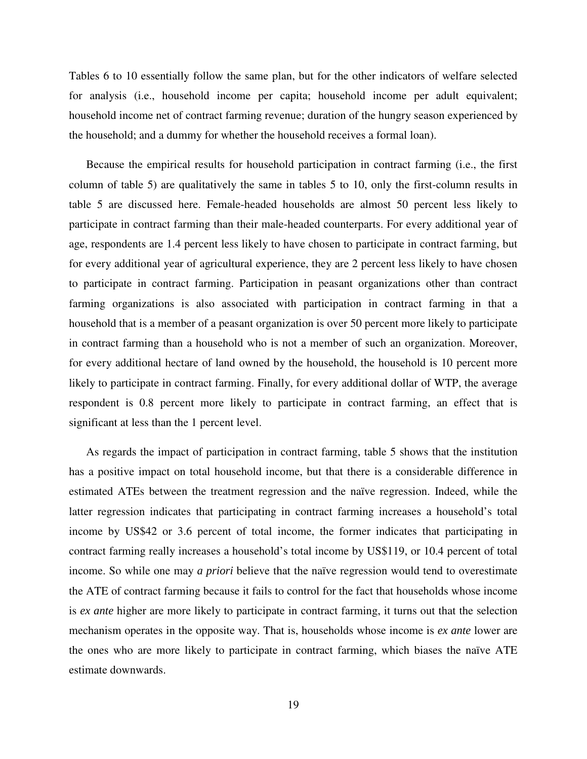Tables 6 to 10 essentially follow the same plan, but for the other indicators of welfare selected for analysis (i.e., household income per capita; household income per adult equivalent; household income net of contract farming revenue; duration of the hungry season experienced by the household; and a dummy for whether the household receives a formal loan).

Because the empirical results for household participation in contract farming (i.e., the first column of table 5) are qualitatively the same in tables 5 to 10, only the first-column results in table 5 are discussed here. Female-headed households are almost 50 percent less likely to participate in contract farming than their male-headed counterparts. For every additional year of age, respondents are 1.4 percent less likely to have chosen to participate in contract farming, but for every additional year of agricultural experience, they are 2 percent less likely to have chosen to participate in contract farming. Participation in peasant organizations other than contract farming organizations is also associated with participation in contract farming in that a household that is a member of a peasant organization is over 50 percent more likely to participate in contract farming than a household who is not a member of such an organization. Moreover, for every additional hectare of land owned by the household, the household is 10 percent more likely to participate in contract farming. Finally, for every additional dollar of WTP, the average respondent is 0.8 percent more likely to participate in contract farming, an effect that is significant at less than the 1 percent level.

As regards the impact of participation in contract farming, table 5 shows that the institution has a positive impact on total household income, but that there is a considerable difference in estimated ATEs between the treatment regression and the naïve regression. Indeed, while the latter regression indicates that participating in contract farming increases a household's total income by US\$42 or 3.6 percent of total income, the former indicates that participating in contract farming really increases a household's total income by US\$119, or 10.4 percent of total income. So while one may *a priori* believe that the naïve regression would tend to overestimate the ATE of contract farming because it fails to control for the fact that households whose income is *ex ante* higher are more likely to participate in contract farming, it turns out that the selection mechanism operates in the opposite way. That is, households whose income is *ex ante* lower are the ones who are more likely to participate in contract farming, which biases the naïve ATE estimate downwards.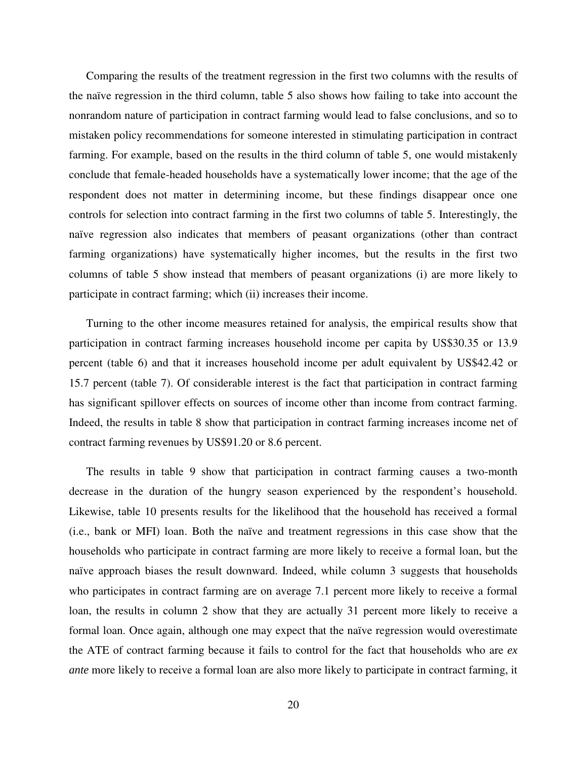Comparing the results of the treatment regression in the first two columns with the results of the naïve regression in the third column, table 5 also shows how failing to take into account the nonrandom nature of participation in contract farming would lead to false conclusions, and so to mistaken policy recommendations for someone interested in stimulating participation in contract farming. For example, based on the results in the third column of table 5, one would mistakenly conclude that female-headed households have a systematically lower income; that the age of the respondent does not matter in determining income, but these findings disappear once one controls for selection into contract farming in the first two columns of table 5. Interestingly, the naïve regression also indicates that members of peasant organizations (other than contract farming organizations) have systematically higher incomes, but the results in the first two columns of table 5 show instead that members of peasant organizations (i) are more likely to participate in contract farming; which (ii) increases their income.

Turning to the other income measures retained for analysis, the empirical results show that participation in contract farming increases household income per capita by US\$30.35 or 13.9 percent (table 6) and that it increases household income per adult equivalent by US\$42.42 or 15.7 percent (table 7). Of considerable interest is the fact that participation in contract farming has significant spillover effects on sources of income other than income from contract farming. Indeed, the results in table 8 show that participation in contract farming increases income net of contract farming revenues by US\$91.20 or 8.6 percent.

The results in table 9 show that participation in contract farming causes a two-month decrease in the duration of the hungry season experienced by the respondent's household. Likewise, table 10 presents results for the likelihood that the household has received a formal (i.e., bank or MFI) loan. Both the naïve and treatment regressions in this case show that the households who participate in contract farming are more likely to receive a formal loan, but the naïve approach biases the result downward. Indeed, while column 3 suggests that households who participates in contract farming are on average 7.1 percent more likely to receive a formal loan, the results in column 2 show that they are actually 31 percent more likely to receive a formal loan. Once again, although one may expect that the naïve regression would overestimate the ATE of contract farming because it fails to control for the fact that households who are *ex ante* more likely to receive a formal loan are also more likely to participate in contract farming, it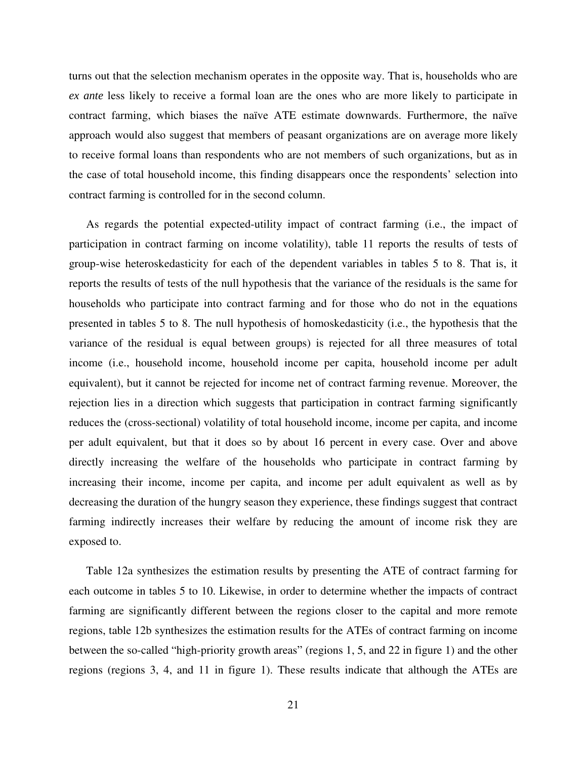turns out that the selection mechanism operates in the opposite way. That is, households who are *ex ante* less likely to receive a formal loan are the ones who are more likely to participate in contract farming, which biases the naïve ATE estimate downwards. Furthermore, the naïve approach would also suggest that members of peasant organizations are on average more likely to receive formal loans than respondents who are not members of such organizations, but as in the case of total household income, this finding disappears once the respondents' selection into contract farming is controlled for in the second column.

As regards the potential expected-utility impact of contract farming (i.e., the impact of participation in contract farming on income volatility), table 11 reports the results of tests of group-wise heteroskedasticity for each of the dependent variables in tables 5 to 8. That is, it reports the results of tests of the null hypothesis that the variance of the residuals is the same for households who participate into contract farming and for those who do not in the equations presented in tables 5 to 8. The null hypothesis of homoskedasticity (i.e., the hypothesis that the variance of the residual is equal between groups) is rejected for all three measures of total income (i.e., household income, household income per capita, household income per adult equivalent), but it cannot be rejected for income net of contract farming revenue. Moreover, the rejection lies in a direction which suggests that participation in contract farming significantly reduces the (cross-sectional) volatility of total household income, income per capita, and income per adult equivalent, but that it does so by about 16 percent in every case. Over and above directly increasing the welfare of the households who participate in contract farming by increasing their income, income per capita, and income per adult equivalent as well as by decreasing the duration of the hungry season they experience, these findings suggest that contract farming indirectly increases their welfare by reducing the amount of income risk they are exposed to.

Table 12a synthesizes the estimation results by presenting the ATE of contract farming for each outcome in tables 5 to 10. Likewise, in order to determine whether the impacts of contract farming are significantly different between the regions closer to the capital and more remote regions, table 12b synthesizes the estimation results for the ATEs of contract farming on income between the so-called "high-priority growth areas" (regions 1, 5, and 22 in figure 1) and the other regions (regions 3, 4, and 11 in figure 1). These results indicate that although the ATEs are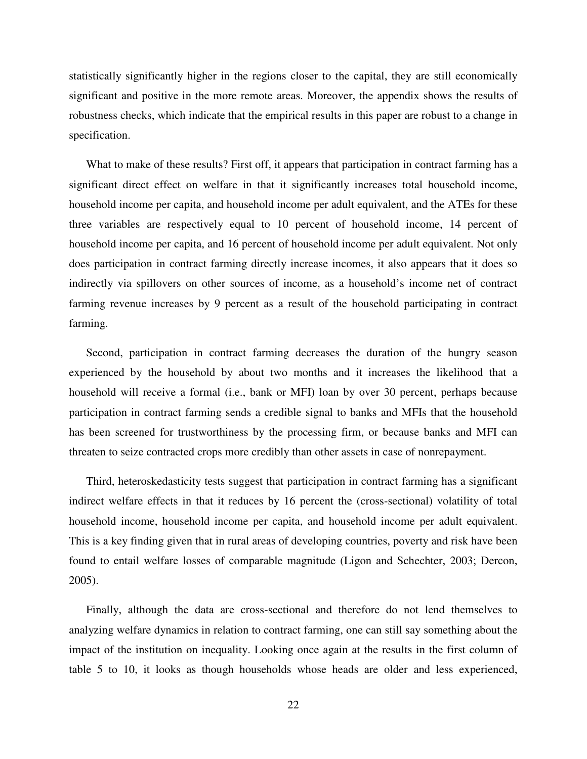statistically significantly higher in the regions closer to the capital, they are still economically significant and positive in the more remote areas. Moreover, the appendix shows the results of robustness checks, which indicate that the empirical results in this paper are robust to a change in specification.

What to make of these results? First off, it appears that participation in contract farming has a significant direct effect on welfare in that it significantly increases total household income, household income per capita, and household income per adult equivalent, and the ATEs for these three variables are respectively equal to 10 percent of household income, 14 percent of household income per capita, and 16 percent of household income per adult equivalent. Not only does participation in contract farming directly increase incomes, it also appears that it does so indirectly via spillovers on other sources of income, as a household's income net of contract farming revenue increases by 9 percent as a result of the household participating in contract farming.

Second, participation in contract farming decreases the duration of the hungry season experienced by the household by about two months and it increases the likelihood that a household will receive a formal (i.e., bank or MFI) loan by over 30 percent, perhaps because participation in contract farming sends a credible signal to banks and MFIs that the household has been screened for trustworthiness by the processing firm, or because banks and MFI can threaten to seize contracted crops more credibly than other assets in case of nonrepayment.

Third, heteroskedasticity tests suggest that participation in contract farming has a significant indirect welfare effects in that it reduces by 16 percent the (cross-sectional) volatility of total household income, household income per capita, and household income per adult equivalent. This is a key finding given that in rural areas of developing countries, poverty and risk have been found to entail welfare losses of comparable magnitude (Ligon and Schechter, 2003; Dercon, 2005).

Finally, although the data are cross-sectional and therefore do not lend themselves to analyzing welfare dynamics in relation to contract farming, one can still say something about the impact of the institution on inequality. Looking once again at the results in the first column of table 5 to 10, it looks as though households whose heads are older and less experienced,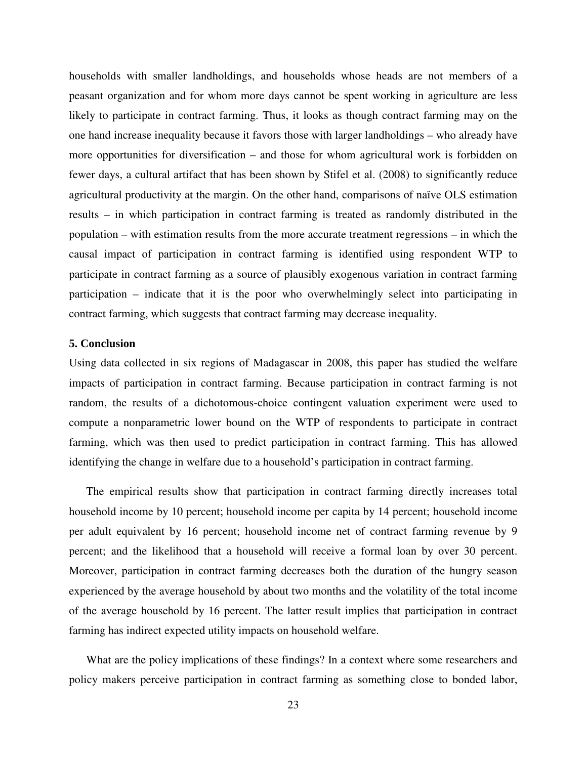households with smaller landholdings, and households whose heads are not members of a peasant organization and for whom more days cannot be spent working in agriculture are less likely to participate in contract farming. Thus, it looks as though contract farming may on the one hand increase inequality because it favors those with larger landholdings – who already have more opportunities for diversification – and those for whom agricultural work is forbidden on fewer days, a cultural artifact that has been shown by Stifel et al. (2008) to significantly reduce agricultural productivity at the margin. On the other hand, comparisons of naïve OLS estimation results – in which participation in contract farming is treated as randomly distributed in the population – with estimation results from the more accurate treatment regressions – in which the causal impact of participation in contract farming is identified using respondent WTP to participate in contract farming as a source of plausibly exogenous variation in contract farming participation – indicate that it is the poor who overwhelmingly select into participating in contract farming, which suggests that contract farming may decrease inequality.

#### **5. Conclusion**

Using data collected in six regions of Madagascar in 2008, this paper has studied the welfare impacts of participation in contract farming. Because participation in contract farming is not random, the results of a dichotomous-choice contingent valuation experiment were used to compute a nonparametric lower bound on the WTP of respondents to participate in contract farming, which was then used to predict participation in contract farming. This has allowed identifying the change in welfare due to a household's participation in contract farming.

The empirical results show that participation in contract farming directly increases total household income by 10 percent; household income per capita by 14 percent; household income per adult equivalent by 16 percent; household income net of contract farming revenue by 9 percent; and the likelihood that a household will receive a formal loan by over 30 percent. Moreover, participation in contract farming decreases both the duration of the hungry season experienced by the average household by about two months and the volatility of the total income of the average household by 16 percent. The latter result implies that participation in contract farming has indirect expected utility impacts on household welfare.

What are the policy implications of these findings? In a context where some researchers and policy makers perceive participation in contract farming as something close to bonded labor,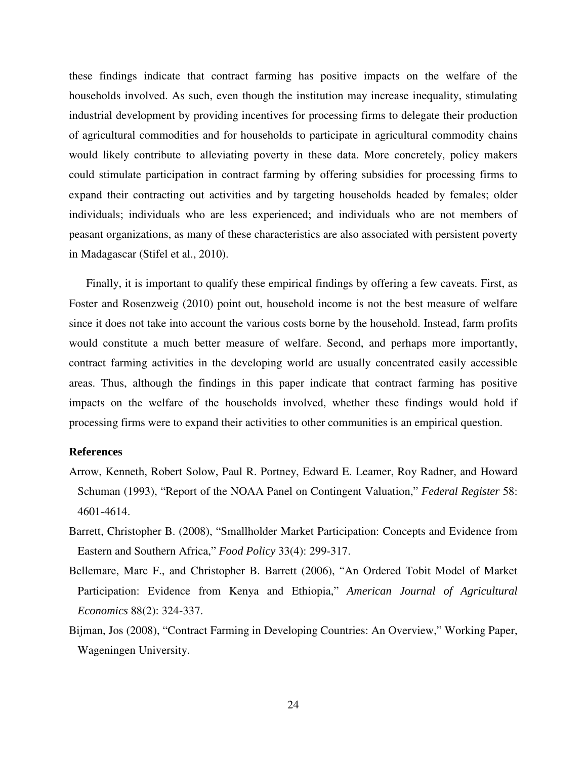these findings indicate that contract farming has positive impacts on the welfare of the households involved. As such, even though the institution may increase inequality, stimulating industrial development by providing incentives for processing firms to delegate their production of agricultural commodities and for households to participate in agricultural commodity chains would likely contribute to alleviating poverty in these data. More concretely, policy makers could stimulate participation in contract farming by offering subsidies for processing firms to expand their contracting out activities and by targeting households headed by females; older individuals; individuals who are less experienced; and individuals who are not members of peasant organizations, as many of these characteristics are also associated with persistent poverty in Madagascar (Stifel et al., 2010).

Finally, it is important to qualify these empirical findings by offering a few caveats. First, as Foster and Rosenzweig (2010) point out, household income is not the best measure of welfare since it does not take into account the various costs borne by the household. Instead, farm profits would constitute a much better measure of welfare. Second, and perhaps more importantly, contract farming activities in the developing world are usually concentrated easily accessible areas. Thus, although the findings in this paper indicate that contract farming has positive impacts on the welfare of the households involved, whether these findings would hold if processing firms were to expand their activities to other communities is an empirical question.

#### **References**

- Arrow, Kenneth, Robert Solow, Paul R. Portney, Edward E. Leamer, Roy Radner, and Howard Schuman (1993), "Report of the NOAA Panel on Contingent Valuation," *Federal Register* 58: 4601-4614.
- Barrett, Christopher B. (2008), "Smallholder Market Participation: Concepts and Evidence from Eastern and Southern Africa," *Food Policy* 33(4): 299-317.
- Bellemare, Marc F., and Christopher B. Barrett (2006), "An Ordered Tobit Model of Market Participation: Evidence from Kenya and Ethiopia," *American Journal of Agricultural Economics* 88(2): 324-337.
- Bijman, Jos (2008), "Contract Farming in Developing Countries: An Overview," Working Paper, Wageningen University.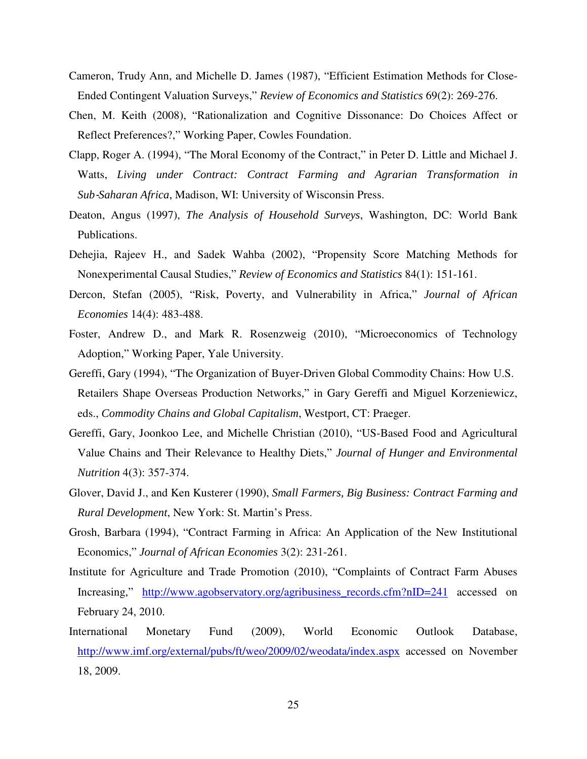- Cameron, Trudy Ann, and Michelle D. James (1987), "Efficient Estimation Methods for Close-Ended Contingent Valuation Surveys," *Review of Economics and Statistics* 69(2): 269-276.
- Chen, M. Keith (2008), "Rationalization and Cognitive Dissonance: Do Choices Affect or Reflect Preferences?," Working Paper, Cowles Foundation.
- Clapp, Roger A. (1994), "The Moral Economy of the Contract," in Peter D. Little and Michael J. Watts, *Living under Contract: Contract Farming and Agrarian Transformation in Sub*‐*Saharan Africa*, Madison, WI: University of Wisconsin Press.
- Deaton, Angus (1997), *The Analysis of Household Surveys*, Washington, DC: World Bank Publications.
- Dehejia, Rajeev H., and Sadek Wahba (2002), "Propensity Score Matching Methods for Nonexperimental Causal Studies," *Review of Economics and Statistics* 84(1): 151-161.
- Dercon, Stefan (2005), "Risk, Poverty, and Vulnerability in Africa," *Journal of African Economies* 14(4): 483-488.
- Foster, Andrew D., and Mark R. Rosenzweig (2010), "Microeconomics of Technology Adoption," Working Paper, Yale University.
- Gereffi, Gary (1994), "The Organization of Buyer-Driven Global Commodity Chains: How U.S. Retailers Shape Overseas Production Networks," in Gary Gereffi and Miguel Korzeniewicz, eds., *Commodity Chains and Global Capitalism*, Westport, CT: Praeger.
- Gereffi, Gary, Joonkoo Lee, and Michelle Christian (2010), "US-Based Food and Agricultural Value Chains and Their Relevance to Healthy Diets," *Journal of Hunger and Environmental Nutrition* 4(3): 357-374.
- Glover, David J., and Ken Kusterer (1990), *Small Farmers, Big Business: Contract Farming and Rural Development*, New York: St. Martin's Press.
- Grosh, Barbara (1994), "Contract Farming in Africa: An Application of the New Institutional Economics," *Journal of African Economies* 3(2): 231-261.
- Institute for Agriculture and Trade Promotion (2010), "Complaints of Contract Farm Abuses Increasing," http://www.agobservatory.org/agribusiness\_records.cfm?nID=241 accessed on February 24, 2010.
- International Monetary Fund (2009), World Economic Outlook Database, http://www.imf.org/external/pubs/ft/weo/2009/02/weodata/index.aspx accessed on November 18, 2009.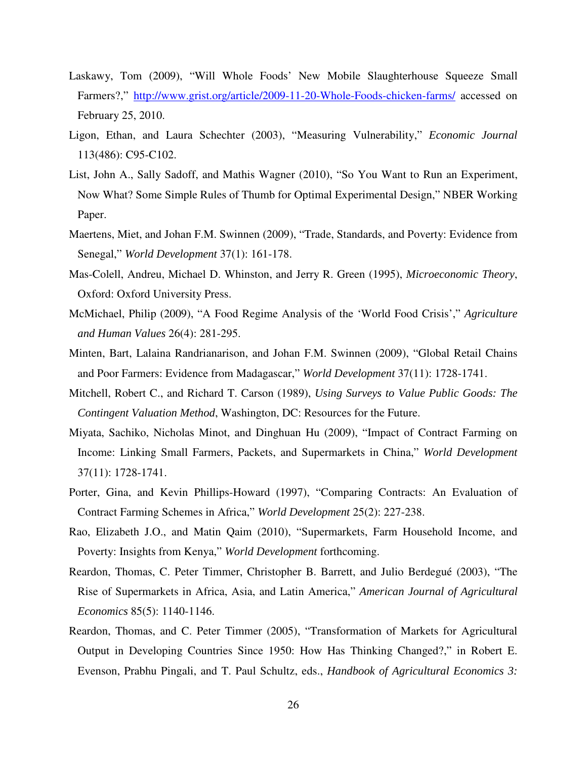- Laskawy, Tom (2009), "Will Whole Foods' New Mobile Slaughterhouse Squeeze Small Farmers?," http://www.grist.org/article/2009-11-20-Whole-Foods-chicken-farms/ accessed on February 25, 2010.
- Ligon, Ethan, and Laura Schechter (2003), "Measuring Vulnerability," *Economic Journal* 113(486): C95-C102.
- List, John A., Sally Sadoff, and Mathis Wagner (2010), "So You Want to Run an Experiment, Now What? Some Simple Rules of Thumb for Optimal Experimental Design," NBER Working Paper.
- Maertens, Miet, and Johan F.M. Swinnen (2009), "Trade, Standards, and Poverty: Evidence from Senegal," *World Development* 37(1): 161-178.
- Mas-Colell, Andreu, Michael D. Whinston, and Jerry R. Green (1995), *Microeconomic Theory*, Oxford: Oxford University Press.
- McMichael, Philip (2009), "A Food Regime Analysis of the 'World Food Crisis'," *Agriculture and Human Values* 26(4): 281-295.
- Minten, Bart, Lalaina Randrianarison, and Johan F.M. Swinnen (2009), "Global Retail Chains and Poor Farmers: Evidence from Madagascar," *World Development* 37(11): 1728-1741.
- Mitchell, Robert C., and Richard T. Carson (1989), *Using Surveys to Value Public Goods: The Contingent Valuation Method*, Washington, DC: Resources for the Future.
- Miyata, Sachiko, Nicholas Minot, and Dinghuan Hu (2009), "Impact of Contract Farming on Income: Linking Small Farmers, Packets, and Supermarkets in China," *World Development* 37(11): 1728-1741.
- Porter, Gina, and Kevin Phillips-Howard (1997), "Comparing Contracts: An Evaluation of Contract Farming Schemes in Africa," *World Development* 25(2): 227-238.
- Rao, Elizabeth J.O., and Matin Qaim (2010), "Supermarkets, Farm Household Income, and Poverty: Insights from Kenya," *World Development* forthcoming.
- Reardon, Thomas, C. Peter Timmer, Christopher B. Barrett, and Julio Berdegué (2003), "The Rise of Supermarkets in Africa, Asia, and Latin America," *American Journal of Agricultural Economics* 85(5): 1140-1146.
- Reardon, Thomas, and C. Peter Timmer (2005), "Transformation of Markets for Agricultural Output in Developing Countries Since 1950: How Has Thinking Changed?," in Robert E. Evenson, Prabhu Pingali, and T. Paul Schultz, eds., *Handbook of Agricultural Economics 3:*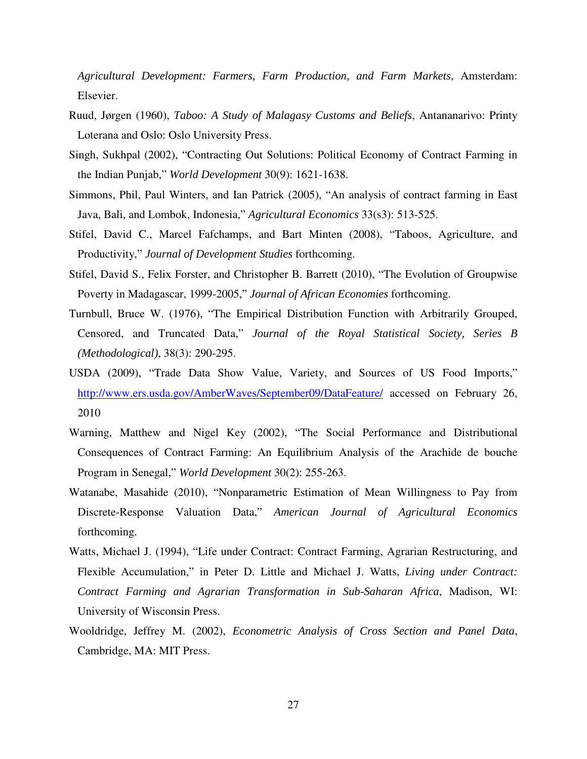*Agricultural Development: Farmers, Farm Production, and Farm Markets*, Amsterdam: Elsevier.

- Ruud, Jørgen (1960), *Taboo: A Study of Malagasy Customs and Beliefs*, Antananarivo: Printy Loterana and Oslo: Oslo University Press.
- Singh, Sukhpal (2002), "Contracting Out Solutions: Political Economy of Contract Farming in the Indian Punjab," *World Development* 30(9): 1621-1638.
- Simmons, Phil, Paul Winters, and Ian Patrick (2005), "An analysis of contract farming in East Java, Bali, and Lombok, Indonesia," *Agricultural Economics* 33(s3): 513-525.
- Stifel, David C., Marcel Fafchamps, and Bart Minten (2008), "Taboos, Agriculture, and Productivity," *Journal of Development Studies* forthcoming.
- Stifel, David S., Felix Forster, and Christopher B. Barrett (2010), "The Evolution of Groupwise Poverty in Madagascar, 1999-2005," *Journal of African Economies* forthcoming.
- Turnbull, Bruce W. (1976), "The Empirical Distribution Function with Arbitrarily Grouped, Censored, and Truncated Data," *Journal of the Royal Statistical Society, Series B (Methodological)*, 38(3): 290-295.
- USDA (2009), "Trade Data Show Value, Variety, and Sources of US Food Imports," http://www.ers.usda.gov/AmberWaves/September09/DataFeature/ accessed on February 26, 2010
- Warning, Matthew and Nigel Key (2002), "The Social Performance and Distributional Consequences of Contract Farming: An Equilibrium Analysis of the Arachide de bouche Program in Senegal," *World Development* 30(2): 255-263.
- Watanabe, Masahide (2010), "Nonparametric Estimation of Mean Willingness to Pay from Discrete-Response Valuation Data," *American Journal of Agricultural Economics* forthcoming.
- Watts, Michael J. (1994), "Life under Contract: Contract Farming, Agrarian Restructuring, and Flexible Accumulation," in Peter D. Little and Michael J. Watts, *Living under Contract: Contract Farming and Agrarian Transformation in Sub-Saharan Africa*, Madison, WI: University of Wisconsin Press.
- Wooldridge, Jeffrey M. (2002), *Econometric Analysis of Cross Section and Panel Data*, Cambridge, MA: MIT Press.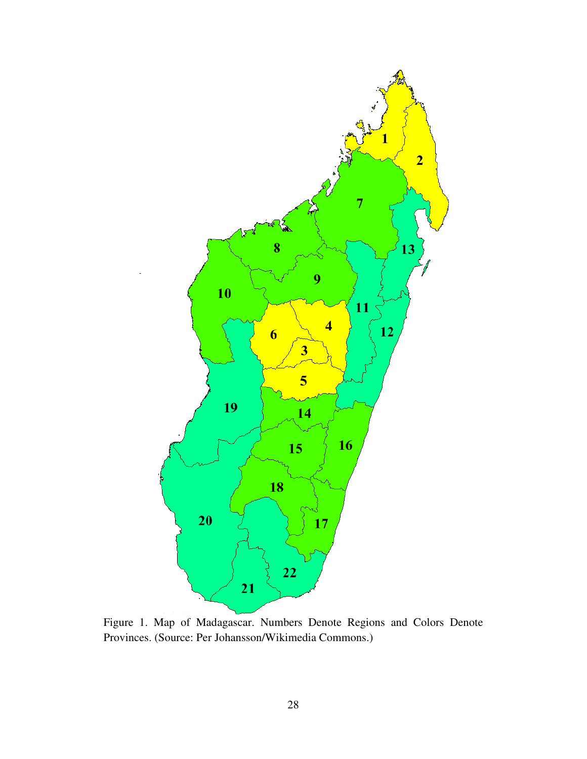

Figure 1. Map of Madagascar. Numbers Denote Regions and Colors Denote Provinces. (Source: Per Johansson/Wikimedia Commons.)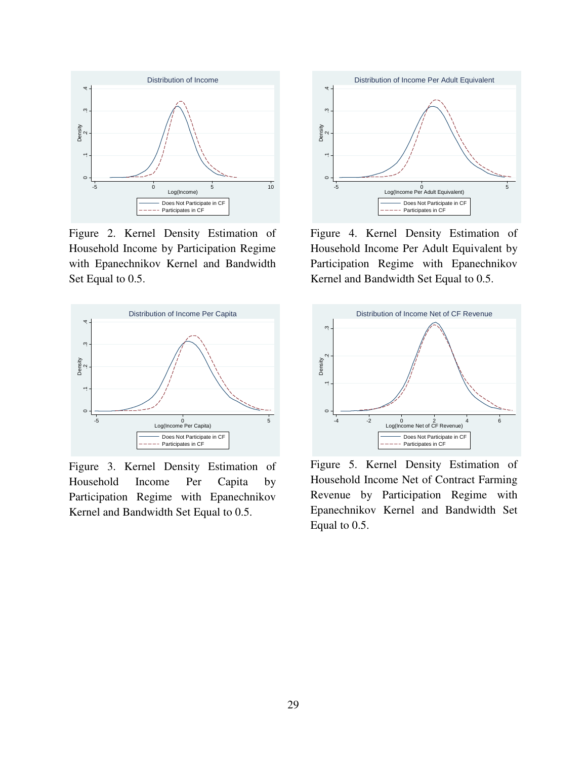

Figure 2. Kernel Density Estimation of Household Income by Participation Regime with Epanechnikov Kernel and Bandwidth Set Equal to 0.5.



Figure 3. Kernel Density Estimation of Household Income Per Capita by Participation Regime with Epanechnikov Kernel and Bandwidth Set Equal to 0.5.



Figure 4. Kernel Density Estimation of Household Income Per Adult Equivalent by Participation Regime with Epanechnikov Kernel and Bandwidth Set Equal to 0.5.



Figure 5. Kernel Density Estimation of Household Income Net of Contract Farming Revenue by Participation Regime with Epanechnikov Kernel and Bandwidth Set Equal to 0.5.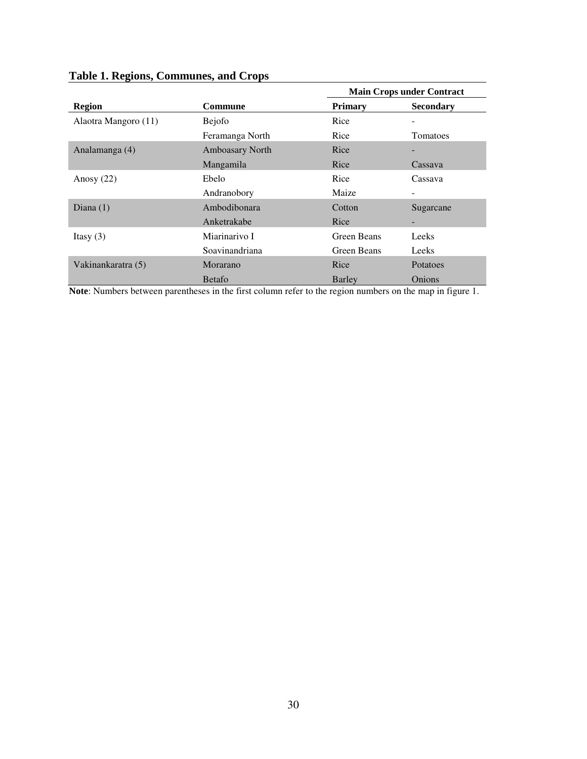|                      |                 |                    | <b>Main Crops under Contract</b> |
|----------------------|-----------------|--------------------|----------------------------------|
| <b>Region</b>        | Commune         | <b>Primary</b>     | <b>Secondary</b>                 |
| Alaotra Mangoro (11) | <b>Bejofo</b>   | Rice               |                                  |
|                      | Feramanga North | Rice               | Tomatoes                         |
| Analamanga (4)       | Amboasary North | Rice               |                                  |
|                      | Mangamila       | Rice               | Cassava                          |
| Anosy $(22)$         | Ebelo           | Rice               | Cassava                          |
|                      | Andranobory     | Maize              |                                  |
| Diana $(1)$          | Ambodibonara    | Cotton             | Sugarcane                        |
|                      | Anketrakabe     | Rice               |                                  |
| Itasy $(3)$          | Miarinarivo I   | <b>Green Beans</b> | Leeks                            |
|                      | Soavinandriana  | Green Beans        | Leeks                            |
| Vakinankaratra (5)   | Morarano        | Rice               | Potatoes                         |
| .                    | <b>B</b> etafo  | Barley             | <b>Onions</b>                    |

# **Table 1. Regions, Communes, and Crops**

**Note**: Numbers between parentheses in the first column refer to the region numbers on the map in figure 1.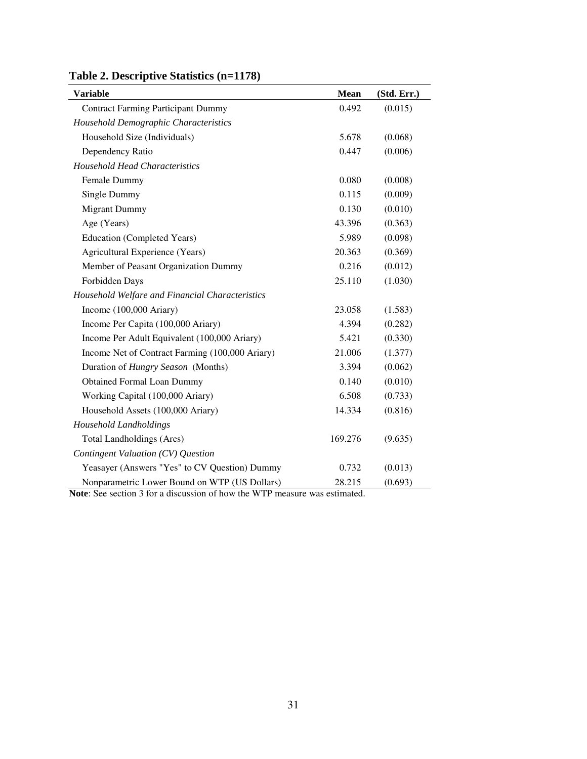| <b>Variable</b>                                 | Mean    | (Std. Err.) |
|-------------------------------------------------|---------|-------------|
| <b>Contract Farming Participant Dummy</b>       | 0.492   | (0.015)     |
| Household Demographic Characteristics           |         |             |
| Household Size (Individuals)                    | 5.678   | (0.068)     |
| Dependency Ratio                                | 0.447   | (0.006)     |
| <b>Household Head Characteristics</b>           |         |             |
| Female Dummy                                    | 0.080   | (0.008)     |
| Single Dummy                                    | 0.115   | (0.009)     |
| <b>Migrant Dummy</b>                            | 0.130   | (0.010)     |
| Age (Years)                                     | 43.396  | (0.363)     |
| <b>Education (Completed Years)</b>              | 5.989   | (0.098)     |
| <b>Agricultural Experience (Years)</b>          | 20.363  | (0.369)     |
| Member of Peasant Organization Dummy            | 0.216   | (0.012)     |
| Forbidden Days                                  | 25.110  | (1.030)     |
| Household Welfare and Financial Characteristics |         |             |
| Income (100,000 Ariary)                         | 23.058  | (1.583)     |
| Income Per Capita (100,000 Ariary)              | 4.394   | (0.282)     |
| Income Per Adult Equivalent (100,000 Ariary)    | 5.421   | (0.330)     |
| Income Net of Contract Farming (100,000 Ariary) | 21.006  | (1.377)     |
| Duration of Hungry Season (Months)              | 3.394   | (0.062)     |
| <b>Obtained Formal Loan Dummy</b>               | 0.140   | (0.010)     |
| Working Capital (100,000 Ariary)                | 6.508   | (0.733)     |
| Household Assets (100,000 Ariary)               | 14.334  | (0.816)     |
| Household Landholdings                          |         |             |
| <b>Total Landholdings (Ares)</b>                | 169.276 | (9.635)     |
| Contingent Valuation (CV) Question              |         |             |
| Yeasayer (Answers "Yes" to CV Question) Dummy   | 0.732   | (0.013)     |
| Nonparametric Lower Bound on WTP (US Dollars)   | 28.215  | (0.693)     |

# **Table 2. Descriptive Statistics (n=1178)**

**Note**: See section 3 for a discussion of how the WTP measure was estimated.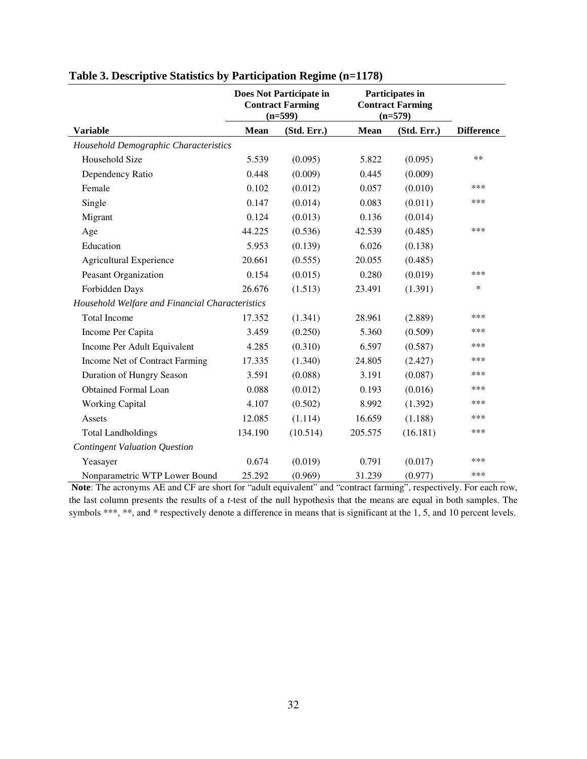|                                                 | Does Not Participate in<br><b>Contract Farming</b><br>$(n=599)$ |             |             | Participates in<br><b>Contract Farming</b><br>$(n=579)$ |                   |
|-------------------------------------------------|-----------------------------------------------------------------|-------------|-------------|---------------------------------------------------------|-------------------|
| <b>Variable</b>                                 | <b>Mean</b>                                                     | (Std. Err.) | <b>Mean</b> | (Std. Err.)                                             | <b>Difference</b> |
| Household Demographic Characteristics           |                                                                 |             |             |                                                         |                   |
| Household Size                                  | 5.539                                                           | (0.095)     | 5.822       | (0.095)                                                 | $***$             |
| Dependency Ratio                                | 0.448                                                           | (0.009)     | 0.445       | (0.009)                                                 |                   |
| Female                                          | 0.102                                                           | (0.012)     | 0.057       | (0.010)                                                 | ***               |
| Single                                          | 0.147                                                           | (0.014)     | 0.083       | (0.011)                                                 | ***               |
| Migrant                                         | 0.124                                                           | (0.013)     | 0.136       | (0.014)                                                 |                   |
| Age                                             | 44.225                                                          | (0.536)     | 42.539      | (0.485)                                                 | ***               |
| Education                                       | 5.953                                                           | (0.139)     | 6.026       | (0.138)                                                 |                   |
| <b>Agricultural Experience</b>                  | 20.661                                                          | (0.555)     | 20.055      | (0.485)                                                 |                   |
| Peasant Organization                            | 0.154                                                           | (0.015)     | 0.280       | (0.019)                                                 | ***               |
| Forbidden Days                                  | 26.676                                                          | (1.513)     | 23.491      | (1.391)                                                 | *                 |
| Household Welfare and Financial Characteristics |                                                                 |             |             |                                                         |                   |
| <b>Total Income</b>                             | 17.352                                                          | (1.341)     | 28.961      | (2.889)                                                 | ***               |
| Income Per Capita                               | 3.459                                                           | (0.250)     | 5.360       | (0.509)                                                 | ***               |
| Income Per Adult Equivalent                     | 4.285                                                           | (0.310)     | 6.597       | (0.587)                                                 | ***               |
| Income Net of Contract Farming                  | 17.335                                                          | (1.340)     | 24.805      | (2.427)                                                 | ***               |
| Duration of Hungry Season                       | 3.591                                                           | (0.088)     | 3.191       | (0.087)                                                 | ***               |
| <b>Obtained Formal Loan</b>                     | 0.088                                                           | (0.012)     | 0.193       | (0.016)                                                 | ***               |
| <b>Working Capital</b>                          | 4.107                                                           | (0.502)     | 8.992       | (1.392)                                                 | ***               |
| Assets                                          | 12.085                                                          | (1.114)     | 16.659      | (1.188)                                                 | ***               |
| <b>Total Landholdings</b>                       | 134.190                                                         | (10.514)    | 205.575     | (16.181)                                                | ***               |
| Contingent Valuation Question                   |                                                                 |             |             |                                                         |                   |
| Yeasayer                                        | 0.674                                                           | (0.019)     | 0.791       | (0.017)                                                 | ***               |
| Nonparametric WTP Lower Bound                   | 25.292                                                          | (0.969)     | 31.239      | (0.977)                                                 | ***               |

# **Table 3. Descriptive Statistics by Participation Regime (n=1178)**

 **Note**: The acronyms AE and CF are short for "adult equivalent" and "contract farming", respectively. For each row, the last column presents the results of a *t*-test of the null hypothesis that the means are equal in both samples. The symbols \*\*\*, \*\*, and \* respectively denote a difference in means that is significant at the 1, 5, and 10 percent levels.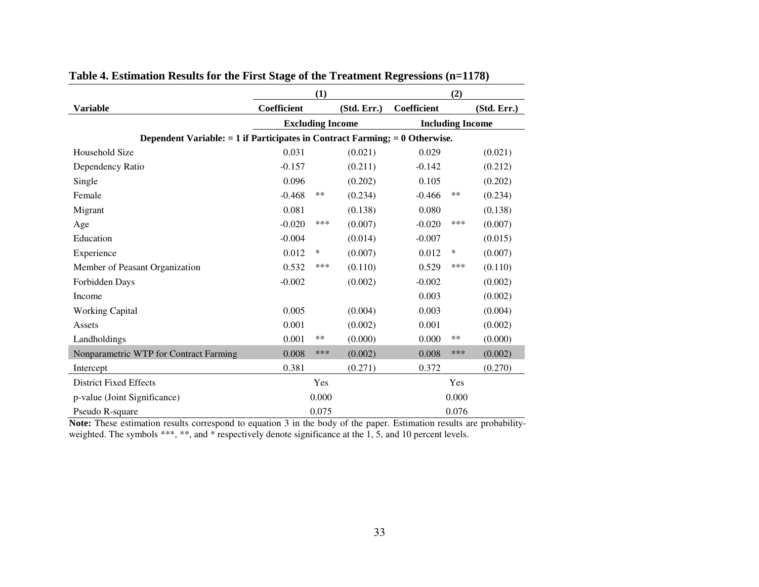|                                                                                 | (1)                     |        |             |                         | (2)    |             |  |
|---------------------------------------------------------------------------------|-------------------------|--------|-------------|-------------------------|--------|-------------|--|
| <b>Variable</b>                                                                 | Coefficient             |        | (Std. Err.) | Coefficient             |        | (Std. Err.) |  |
|                                                                                 | <b>Excluding Income</b> |        |             | <b>Including Income</b> |        |             |  |
| Dependent Variable: $= 1$ if Participates in Contract Farming; $= 0$ Otherwise. |                         |        |             |                         |        |             |  |
| Household Size                                                                  | 0.031                   |        | (0.021)     | 0.029                   |        | (0.021)     |  |
| Dependency Ratio                                                                | $-0.157$                |        | (0.211)     | $-0.142$                |        | (0.212)     |  |
| Single                                                                          | 0.096                   |        | (0.202)     | 0.105                   |        | (0.202)     |  |
| Female                                                                          | $-0.468$                | $***$  | (0.234)     | $-0.466$                | $***$  | (0.234)     |  |
| Migrant                                                                         | 0.081                   |        | (0.138)     | 0.080                   |        | (0.138)     |  |
| Age                                                                             | $-0.020$                | ***    | (0.007)     | $-0.020$                | ***    | (0.007)     |  |
| Education                                                                       | $-0.004$                |        | (0.014)     | $-0.007$                |        | (0.015)     |  |
| Experience                                                                      | 0.012                   | $\ast$ | (0.007)     | 0.012                   | $\ast$ | (0.007)     |  |
| Member of Peasant Organization                                                  | 0.532                   | ***    | (0.110)     | 0.529                   | ***    | (0.110)     |  |
| Forbidden Days                                                                  | $-0.002$                |        | (0.002)     | $-0.002$                |        | (0.002)     |  |
| Income                                                                          |                         |        |             | 0.003                   |        | (0.002)     |  |
| <b>Working Capital</b>                                                          | 0.005                   |        | (0.004)     | 0.003                   |        | (0.004)     |  |
| Assets                                                                          | 0.001                   |        | (0.002)     | 0.001                   |        | (0.002)     |  |
| Landholdings                                                                    | 0.001                   | $***$  | (0.000)     | 0.000                   | $***$  | (0.000)     |  |
| Nonparametric WTP for Contract Farming                                          | 0.008                   | ***    | (0.002)     | 0.008                   | ***    | (0.002)     |  |
| Intercept                                                                       | 0.381                   |        | (0.271)     | 0.372                   |        | (0.270)     |  |
| <b>District Fixed Effects</b>                                                   |                         | Yes    |             |                         | Yes    |             |  |
| p-value (Joint Significance)                                                    |                         | 0.000  |             |                         | 0.000  |             |  |
| Pseudo R-square                                                                 |                         | 0.075  |             |                         | 0.076  |             |  |

# **Table 4. Estimation Results for the First Stage of the Treatment Regressions (n=1178)**

**Note:** These estimation results correspond to equation 3 in the body of the paper. Estimation results are probabilityweighted. The symbols \*\*\*, \*\*, and \* respectively denote significance at the 1, 5, and 10 percent levels.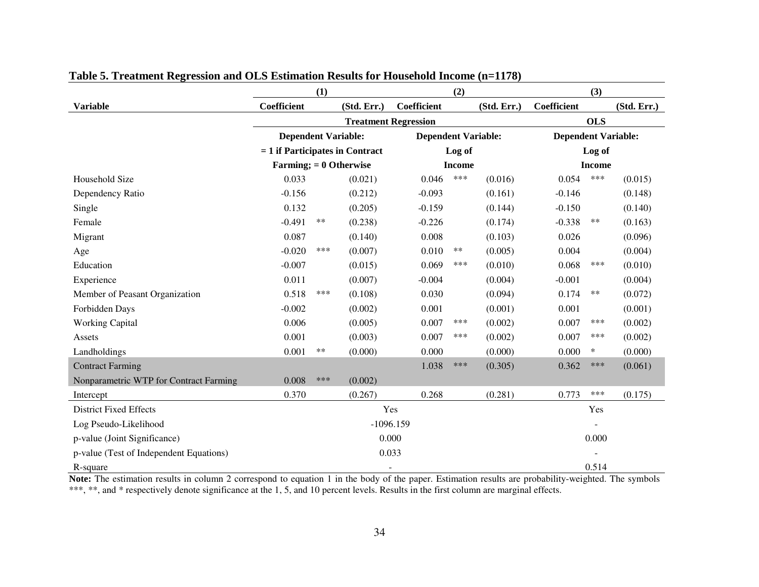|                                         |                                   | (1)                        |                             |               | (2)    |                            | (3)                        |            |             |  |
|-----------------------------------------|-----------------------------------|----------------------------|-----------------------------|---------------|--------|----------------------------|----------------------------|------------|-------------|--|
| <b>Variable</b>                         | Coefficient                       |                            | (Std. Err.)                 | Coefficient   |        | (Std. Err.)                | Coefficient                |            | (Std. Err.) |  |
|                                         |                                   |                            | <b>Treatment Regression</b> |               |        |                            |                            | <b>OLS</b> |             |  |
|                                         |                                   | <b>Dependent Variable:</b> |                             |               |        | <b>Dependent Variable:</b> | <b>Dependent Variable:</b> |            |             |  |
|                                         | $= 1$ if Participates in Contract |                            |                             |               | Log of |                            |                            | Log of     |             |  |
|                                         | Farming; $= 0$ Otherwise          |                            |                             | <b>Income</b> |        |                            | <b>Income</b>              |            |             |  |
| <b>Household Size</b>                   | 0.033                             |                            | (0.021)                     | 0.046         | ***    | (0.016)                    | 0.054                      | ***        | (0.015)     |  |
| Dependency Ratio                        | $-0.156$                          |                            | (0.212)                     | $-0.093$      |        | (0.161)                    | $-0.146$                   |            | (0.148)     |  |
| Single                                  | 0.132                             |                            | (0.205)                     | $-0.159$      |        | (0.144)                    | $-0.150$                   |            | (0.140)     |  |
| Female                                  | $-0.491$                          | **                         | (0.238)                     | $-0.226$      |        | (0.174)                    | $-0.338$                   | **         | (0.163)     |  |
| Migrant                                 | 0.087                             |                            | (0.140)                     | 0.008         |        | (0.103)                    | 0.026                      |            | (0.096)     |  |
| Age                                     | $-0.020$                          | ***                        | (0.007)                     | 0.010         | $***$  | (0.005)                    | 0.004                      |            | (0.004)     |  |
| Education                               | $-0.007$                          |                            | (0.015)                     | 0.069         | ***    | (0.010)                    | 0.068                      | ***        | (0.010)     |  |
| Experience                              | 0.011                             |                            | (0.007)                     | $-0.004$      |        | (0.004)                    | $-0.001$                   |            | (0.004)     |  |
| Member of Peasant Organization          | 0.518                             | ***                        | (0.108)                     | 0.030         |        | (0.094)                    | 0.174                      | **         | (0.072)     |  |
| Forbidden Days                          | $-0.002$                          |                            | (0.002)                     | 0.001         |        | (0.001)                    | 0.001                      |            | (0.001)     |  |
| <b>Working Capital</b>                  | 0.006                             |                            | (0.005)                     | 0.007         | ***    | (0.002)                    | 0.007                      | ***        | (0.002)     |  |
| Assets                                  | 0.001                             |                            | (0.003)                     | 0.007         | ***    | (0.002)                    | 0.007                      | ***        | (0.002)     |  |
| Landholdings                            | 0.001                             | $***$                      | (0.000)                     | 0.000         |        | (0.000)                    | 0.000                      | $\ast$     | (0.000)     |  |
| <b>Contract Farming</b>                 |                                   |                            |                             | 1.038         | ***    | (0.305)                    | 0.362                      | ***        | (0.061)     |  |
| Nonparametric WTP for Contract Farming  | 0.008                             | ***                        | (0.002)                     |               |        |                            |                            |            |             |  |
| Intercept                               | 0.370                             |                            | (0.267)                     | 0.268         |        | (0.281)                    | 0.773                      | ***        | (0.175)     |  |
| <b>District Fixed Effects</b>           |                                   |                            | Yes                         |               |        |                            |                            | Yes        |             |  |
| Log Pseudo-Likelihood                   |                                   |                            | $-1096.159$                 |               |        |                            |                            |            |             |  |
| p-value (Joint Significance)            |                                   | 0.000                      |                             |               |        |                            | 0.000                      |            |             |  |
| p-value (Test of Independent Equations) |                                   |                            | 0.033                       |               |        |                            |                            |            |             |  |
| R-square                                |                                   |                            | $\overline{\phantom{a}}$    |               |        |                            |                            | 0.514      |             |  |

# **Table 5. Treatment Regression and OLS Estimation Results for Household Income (n=1178)**

**Note:** The estimation results in column 2 correspond to equation 1 in the body of the paper. Estimation results are probability-weighted. The symbols \*\*\*, \*\*, and \* respectively denote significance at the 1, 5, and 10 percent levels. Results in the first column are marginal effects.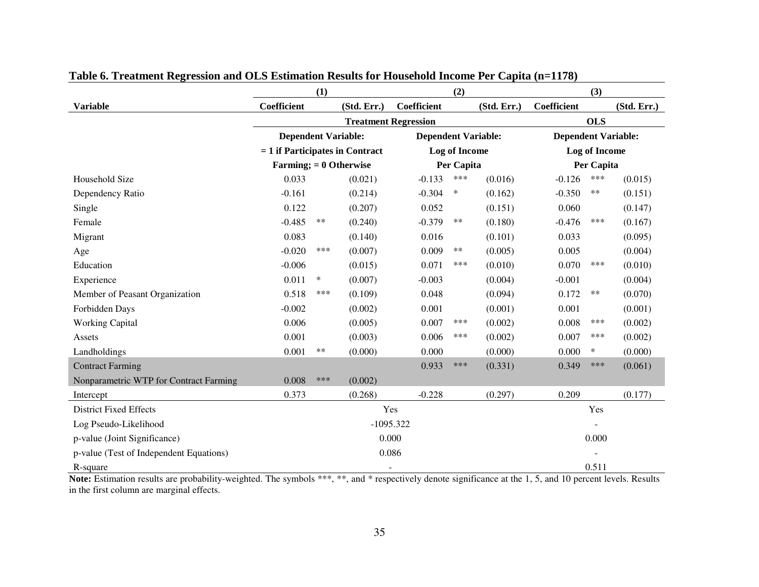|                                         |                          | (1)                               |                             |                    | (2)           |                            |                            | (3)           |             |  |  |
|-----------------------------------------|--------------------------|-----------------------------------|-----------------------------|--------------------|---------------|----------------------------|----------------------------|---------------|-------------|--|--|
| <b>Variable</b>                         | <b>Coefficient</b>       |                                   | (Std. Err.)                 | <b>Coefficient</b> |               | (Std. Err.)                | Coefficient                |               | (Std. Err.) |  |  |
|                                         |                          |                                   | <b>Treatment Regression</b> |                    |               |                            |                            | <b>OLS</b>    |             |  |  |
|                                         |                          | <b>Dependent Variable:</b>        |                             |                    |               | <b>Dependent Variable:</b> | <b>Dependent Variable:</b> |               |             |  |  |
|                                         |                          | $= 1$ if Participates in Contract |                             |                    | Log of Income |                            |                            | Log of Income |             |  |  |
|                                         | Farming; $= 0$ Otherwise |                                   |                             |                    | Per Capita    |                            |                            | Per Capita    |             |  |  |
| Household Size                          | 0.033                    |                                   | (0.021)                     | $-0.133$           | ***           | (0.016)                    | $-0.126$                   | ***           | (0.015)     |  |  |
| Dependency Ratio                        | $-0.161$                 |                                   | (0.214)                     | $-0.304$           | ∗             | (0.162)                    | $-0.350$                   | **            | (0.151)     |  |  |
| Single                                  | 0.122                    |                                   | (0.207)                     | 0.052              |               | (0.151)                    | 0.060                      |               | (0.147)     |  |  |
| Female                                  | $-0.485$                 | $***$                             | (0.240)                     | $-0.379$           | $***$         | (0.180)                    | $-0.476$                   | ***           | (0.167)     |  |  |
| Migrant                                 | 0.083                    |                                   | (0.140)                     | 0.016              |               | (0.101)                    | 0.033                      |               | (0.095)     |  |  |
| Age                                     | $-0.020$                 | ***                               | (0.007)                     | 0.009              | $***$         | (0.005)                    | 0.005                      |               | (0.004)     |  |  |
| Education                               | $-0.006$                 |                                   | (0.015)                     | 0.071              | ***           | (0.010)                    | 0.070                      | ***           | (0.010)     |  |  |
| Experience                              | 0.011                    | $\ast$                            | (0.007)                     | $-0.003$           |               | (0.004)                    | $-0.001$                   |               | (0.004)     |  |  |
| Member of Peasant Organization          | 0.518                    | ***                               | (0.109)                     | 0.048              |               | (0.094)                    | 0.172                      | **            | (0.070)     |  |  |
| Forbidden Days                          | $-0.002$                 |                                   | (0.002)                     | 0.001              |               | (0.001)                    | 0.001                      |               | (0.001)     |  |  |
| <b>Working Capital</b>                  | 0.006                    |                                   | (0.005)                     | 0.007              | ***           | (0.002)                    | 0.008                      | ***           | (0.002)     |  |  |
| Assets                                  | 0.001                    |                                   | (0.003)                     | 0.006              | ***           | (0.002)                    | 0.007                      | ***           | (0.002)     |  |  |
| Landholdings                            | 0.001                    | $***$                             | (0.000)                     | 0.000              |               | (0.000)                    | 0.000                      | $\ast$        | (0.000)     |  |  |
| <b>Contract Farming</b>                 |                          |                                   |                             | 0.933              | ***           | (0.331)                    | 0.349                      | ***           | (0.061)     |  |  |
| Nonparametric WTP for Contract Farming  | 0.008                    | ***                               | (0.002)                     |                    |               |                            |                            |               |             |  |  |
| Intercept                               | 0.373                    |                                   | (0.268)                     | $-0.228$           |               | (0.297)                    | 0.209                      |               | (0.177)     |  |  |
| <b>District Fixed Effects</b>           |                          |                                   | Yes                         |                    |               |                            |                            | Yes           |             |  |  |
| Log Pseudo-Likelihood                   |                          |                                   | $-1095.322$                 |                    |               |                            |                            |               |             |  |  |
| p-value (Joint Significance)            |                          | 0.000                             |                             |                    |               |                            |                            | 0.000         |             |  |  |
| p-value (Test of Independent Equations) |                          |                                   | 0.086                       |                    |               |                            |                            |               |             |  |  |
| R-square                                |                          |                                   | $\sim$                      |                    |               |                            |                            | 0.511         |             |  |  |

# **Table 6. Treatment Regression and OLS Estimation Results for Household Income Per Capita (n=1178)**

Note: Estimation results are probability-weighted. The symbols \*\*\*, \*\*, and \* respectively denote significance at the 1, 5, and 10 percent levels. Results in the first column are marginal effects.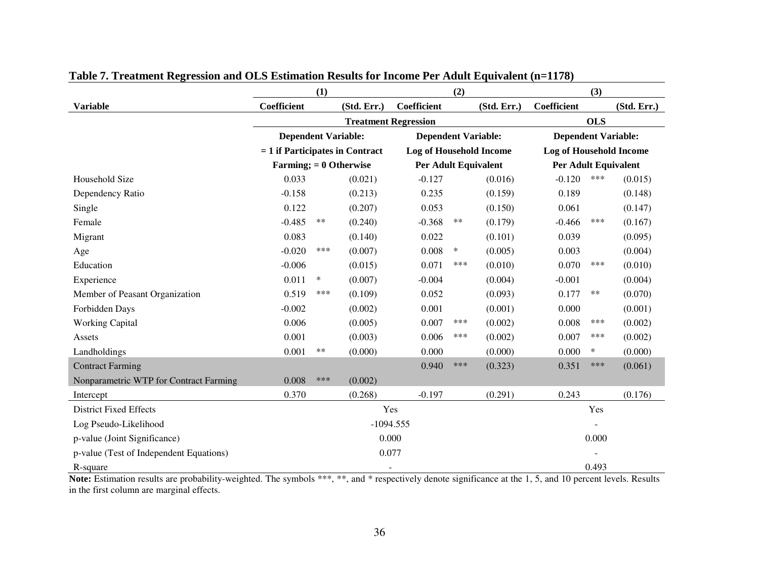|                                         |                                   | (1)                        |                          |                                | (2)    |                            |                                | (3)        |             |  |
|-----------------------------------------|-----------------------------------|----------------------------|--------------------------|--------------------------------|--------|----------------------------|--------------------------------|------------|-------------|--|
| <b>Variable</b>                         | Coefficient                       |                            | (Std. Err.)              | Coefficient                    |        | (Std. Err.)                | Coefficient                    |            | (Std. Err.) |  |
|                                         |                                   |                            |                          | <b>Treatment Regression</b>    |        |                            |                                | <b>OLS</b> |             |  |
|                                         |                                   | <b>Dependent Variable:</b> |                          |                                |        | <b>Dependent Variable:</b> | <b>Dependent Variable:</b>     |            |             |  |
|                                         | $= 1$ if Participates in Contract |                            |                          | <b>Log of Household Income</b> |        |                            | <b>Log of Household Income</b> |            |             |  |
|                                         | Farming; $= 0$ Otherwise          |                            |                          | <b>Per Adult Equivalent</b>    |        |                            | <b>Per Adult Equivalent</b>    |            |             |  |
| Household Size                          | 0.033                             |                            | (0.021)                  | $-0.127$                       |        | (0.016)                    | $-0.120$                       | ***        | (0.015)     |  |
| Dependency Ratio                        | $-0.158$                          |                            | (0.213)                  | 0.235                          |        | (0.159)                    | 0.189                          |            | (0.148)     |  |
| Single                                  | 0.122                             |                            | (0.207)                  | 0.053                          |        | (0.150)                    | 0.061                          |            | (0.147)     |  |
| Female                                  | $-0.485$                          | **                         | (0.240)                  | $-0.368$                       | $***$  | (0.179)                    | $-0.466$                       | ***        | (0.167)     |  |
| Migrant                                 | 0.083                             |                            | (0.140)                  | 0.022                          |        | (0.101)                    | 0.039                          |            | (0.095)     |  |
| Age                                     | $-0.020$                          | ***                        | (0.007)                  | 0.008                          | $\ast$ | (0.005)                    | 0.003                          |            | (0.004)     |  |
| Education                               | $-0.006$                          |                            | (0.015)                  | 0.071                          | ***    | (0.010)                    | 0.070                          | ***        | (0.010)     |  |
| Experience                              | 0.011                             | $\ast$                     | (0.007)                  | $-0.004$                       |        | (0.004)                    | $-0.001$                       |            | (0.004)     |  |
| Member of Peasant Organization          | 0.519                             | ***                        | (0.109)                  | 0.052                          |        | (0.093)                    | 0.177                          | $***$      | (0.070)     |  |
| Forbidden Days                          | $-0.002$                          |                            | (0.002)                  | 0.001                          |        | (0.001)                    | 0.000                          |            | (0.001)     |  |
| <b>Working Capital</b>                  | 0.006                             |                            | (0.005)                  | 0.007                          | ***    | (0.002)                    | 0.008                          | ***        | (0.002)     |  |
| Assets                                  | 0.001                             |                            | (0.003)                  | 0.006                          | ***    | (0.002)                    | 0.007                          | ***        | (0.002)     |  |
| Landholdings                            | 0.001                             | $***$                      | (0.000)                  | 0.000                          |        | (0.000)                    | 0.000                          | $\ast$     | (0.000)     |  |
| <b>Contract Farming</b>                 |                                   |                            |                          | 0.940                          | ***    | (0.323)                    | 0.351                          | ***        | (0.061)     |  |
| Nonparametric WTP for Contract Farming  | 0.008                             | ***                        | (0.002)                  |                                |        |                            |                                |            |             |  |
| Intercept                               | 0.370                             |                            | (0.268)                  | $-0.197$                       |        | (0.291)                    | 0.243                          |            | (0.176)     |  |
| <b>District Fixed Effects</b>           |                                   |                            | Yes                      |                                |        |                            |                                | Yes        |             |  |
| Log Pseudo-Likelihood                   |                                   |                            | $-1094.555$              |                                |        |                            |                                |            |             |  |
| p-value (Joint Significance)            |                                   | 0.000                      |                          |                                |        |                            | 0.000                          |            |             |  |
| p-value (Test of Independent Equations) |                                   |                            | 0.077                    |                                |        |                            |                                |            |             |  |
| R-square                                |                                   |                            | $\overline{\phantom{a}}$ |                                |        |                            |                                | 0.493      |             |  |

# **Table 7. Treatment Regression and OLS Estimation Results for Income Per Adult Equivalent (n=1178)**

Note: Estimation results are probability-weighted. The symbols \*\*\*, \*\*, and \* respectively denote significance at the 1, 5, and 10 percent levels. Results in the first column are marginal effects.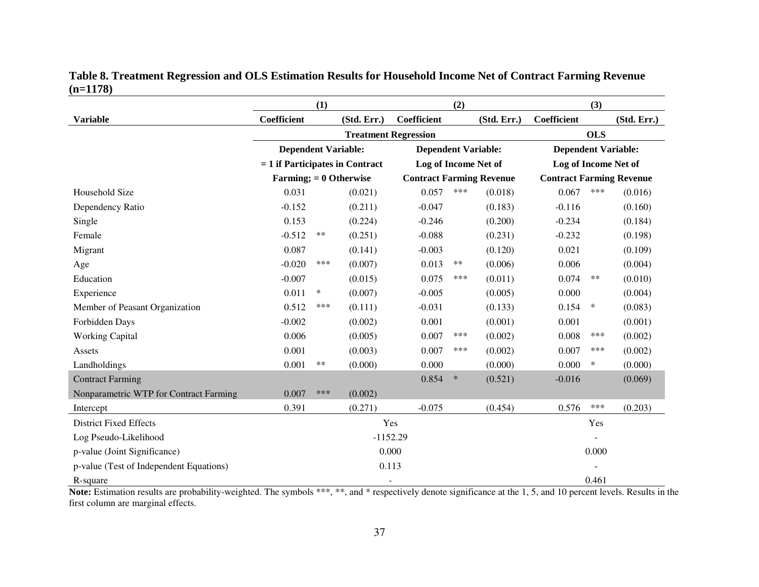|                                         | (1)<br>(2)                 |                                   |                             |                                 | (3)    |                      |                                 |            |             |
|-----------------------------------------|----------------------------|-----------------------------------|-----------------------------|---------------------------------|--------|----------------------|---------------------------------|------------|-------------|
| <b>Variable</b>                         | Coefficient                |                                   | (Std. Err.)                 | Coefficient                     |        | (Std. Err.)          | Coefficient                     |            | (Std. Err.) |
|                                         |                            |                                   | <b>Treatment Regression</b> |                                 |        |                      |                                 | <b>OLS</b> |             |
|                                         | <b>Dependent Variable:</b> |                                   |                             | <b>Dependent Variable:</b>      |        |                      | <b>Dependent Variable:</b>      |            |             |
|                                         |                            | $= 1$ if Participates in Contract |                             |                                 |        | Log of Income Net of | Log of Income Net of            |            |             |
|                                         | Farming; $= 0$ Otherwise   |                                   |                             | <b>Contract Farming Revenue</b> |        |                      | <b>Contract Farming Revenue</b> |            |             |
| Household Size                          | 0.031                      |                                   | (0.021)                     | 0.057                           | ***    | (0.018)              | 0.067                           | ***        | (0.016)     |
| Dependency Ratio                        | $-0.152$                   |                                   | (0.211)                     | $-0.047$                        |        | (0.183)              | $-0.116$                        |            | (0.160)     |
| Single                                  | 0.153                      |                                   | (0.224)                     | $-0.246$                        |        | (0.200)              | $-0.234$                        |            | (0.184)     |
| Female                                  | $-0.512$                   | **                                | (0.251)                     | $-0.088$                        |        | (0.231)              | $-0.232$                        |            | (0.198)     |
| Migrant                                 | 0.087                      |                                   | (0.141)                     | $-0.003$                        |        | (0.120)              | 0.021                           |            | (0.109)     |
| Age                                     | $-0.020$                   | ***                               | (0.007)                     | 0.013                           | **     | (0.006)              | 0.006                           |            | (0.004)     |
| Education                               | $-0.007$                   |                                   | (0.015)                     | 0.075                           | ***    | (0.011)              | 0.074                           | **         | (0.010)     |
| Experience                              | 0.011                      | $\ast$                            | (0.007)                     | $-0.005$                        |        | (0.005)              | 0.000                           |            | (0.004)     |
| Member of Peasant Organization          | 0.512                      | ***                               | (0.111)                     | $-0.031$                        |        | (0.133)              | 0.154                           | $\ast$     | (0.083)     |
| Forbidden Days                          | $-0.002$                   |                                   | (0.002)                     | 0.001                           |        | (0.001)              | 0.001                           |            | (0.001)     |
| <b>Working Capital</b>                  | 0.006                      |                                   | (0.005)                     | 0.007                           | ***    | (0.002)              | 0.008                           | ***        | (0.002)     |
| Assets                                  | 0.001                      |                                   | (0.003)                     | 0.007                           | ***    | (0.002)              | 0.007                           | ***        | (0.002)     |
| Landholdings                            | 0.001                      | $**$                              | (0.000)                     | 0.000                           |        | (0.000)              | 0.000                           | $\ast$     | (0.000)     |
| <b>Contract Farming</b>                 |                            |                                   |                             | 0.854                           | $\ast$ | (0.521)              | $-0.016$                        |            | (0.069)     |
| Nonparametric WTP for Contract Farming  | 0.007                      | ***                               | (0.002)                     |                                 |        |                      |                                 |            |             |
| Intercept                               | 0.391                      |                                   | (0.271)                     | $-0.075$                        |        | (0.454)              | 0.576                           | ***        | (0.203)     |
| <b>District Fixed Effects</b>           |                            |                                   |                             | Yes                             |        |                      |                                 | Yes        |             |
| Log Pseudo-Likelihood                   |                            |                                   | $-1152.29$                  |                                 |        |                      |                                 |            |             |
| p-value (Joint Significance)            |                            |                                   |                             | 0.000                           |        |                      |                                 | 0.000      |             |
| p-value (Test of Independent Equations) |                            |                                   | 0.113                       |                                 |        |                      |                                 |            |             |
| R-square                                |                            |                                   | $\overline{\phantom{a}}$    |                                 |        |                      |                                 | 0.461      |             |

# **Table 8. Treatment Regression and OLS Estimation Results for Household Income Net of Contract Farming Revenue (n=1178)**

Note: Estimation results are probability-weighted. The symbols \*\*\*, \*\*, and \* respectively denote significance at the 1, 5, and 10 percent levels. Results in the first column are marginal effects.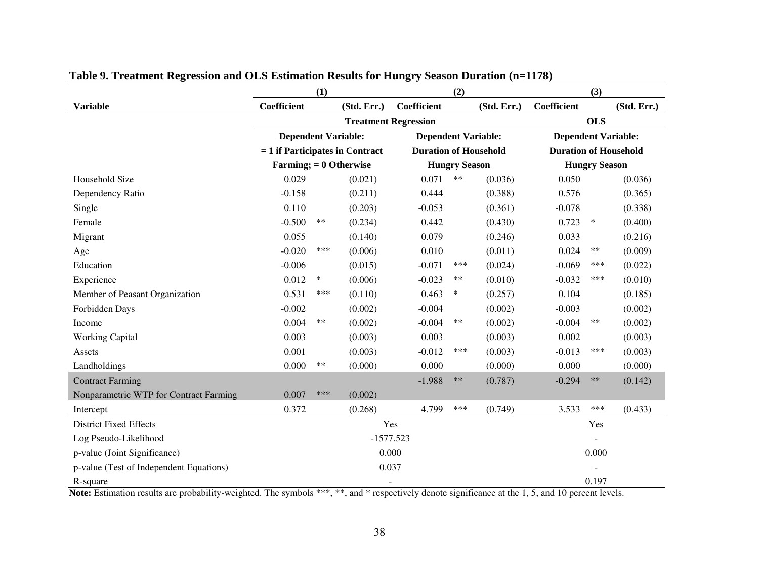|                                         |                                   | (1)    |             |                             | (2)                          |             |                            | (3)                          |             |  |
|-----------------------------------------|-----------------------------------|--------|-------------|-----------------------------|------------------------------|-------------|----------------------------|------------------------------|-------------|--|
| <b>Variable</b>                         | Coefficient                       |        | (Std. Err.) | Coefficient                 |                              | (Std. Err.) | Coefficient                |                              | (Std. Err.) |  |
|                                         |                                   |        |             | <b>Treatment Regression</b> |                              |             |                            | <b>OLS</b>                   |             |  |
|                                         | <b>Dependent Variable:</b>        |        |             | <b>Dependent Variable:</b>  |                              |             | <b>Dependent Variable:</b> |                              |             |  |
|                                         | $= 1$ if Participates in Contract |        |             |                             | <b>Duration of Household</b> |             |                            | <b>Duration of Household</b> |             |  |
|                                         | Farming; $= 0$ Otherwise          |        |             |                             | <b>Hungry Season</b>         |             |                            | <b>Hungry Season</b>         |             |  |
| Household Size                          | 0.029                             |        | (0.021)     | 0.071                       | $***$                        | (0.036)     | 0.050                      |                              | (0.036)     |  |
| Dependency Ratio                        | $-0.158$                          |        | (0.211)     | 0.444                       |                              | (0.388)     | 0.576                      |                              | (0.365)     |  |
| Single                                  | 0.110                             |        | (0.203)     | $-0.053$                    |                              | (0.361)     | $-0.078$                   |                              | (0.338)     |  |
| Female                                  | $-0.500$                          | $***$  | (0.234)     | 0.442                       |                              | (0.430)     | 0.723                      | $\ast$                       | (0.400)     |  |
| Migrant                                 | 0.055                             |        | (0.140)     | 0.079                       |                              | (0.246)     | 0.033                      |                              | (0.216)     |  |
| Age                                     | $-0.020$                          | ***    | (0.006)     | 0.010                       |                              | (0.011)     | 0.024                      | **                           | (0.009)     |  |
| Education                               | $-0.006$                          |        | (0.015)     | $-0.071$                    | ***                          | (0.024)     | $-0.069$                   | ***                          | (0.022)     |  |
| Experience                              | 0.012                             | $\ast$ | (0.006)     | $-0.023$                    | **                           | (0.010)     | $-0.032$                   | ***                          | (0.010)     |  |
| Member of Peasant Organization          | 0.531                             | ***    | (0.110)     | 0.463                       | $\ast$                       | (0.257)     | 0.104                      |                              | (0.185)     |  |
| Forbidden Days                          | $-0.002$                          |        | (0.002)     | $-0.004$                    |                              | (0.002)     | $-0.003$                   |                              | (0.002)     |  |
| Income                                  | 0.004                             | $***$  | (0.002)     | $-0.004$                    | **                           | (0.002)     | $-0.004$                   | **                           | (0.002)     |  |
| <b>Working Capital</b>                  | 0.003                             |        | (0.003)     | 0.003                       |                              | (0.003)     | 0.002                      |                              | (0.003)     |  |
| Assets                                  | 0.001                             |        | (0.003)     | $-0.012$                    | ***                          | (0.003)     | $-0.013$                   | ***                          | (0.003)     |  |
| Landholdings                            | 0.000                             | $***$  | (0.000)     | 0.000                       |                              | (0.000)     | 0.000                      |                              | (0.000)     |  |
| <b>Contract Farming</b>                 |                                   |        |             | $-1.988$                    | $***$                        | (0.787)     | $-0.294$                   | $***$                        | (0.142)     |  |
| Nonparametric WTP for Contract Farming  | 0.007                             | ***    | (0.002)     |                             |                              |             |                            |                              |             |  |
| Intercept                               | 0.372                             |        | (0.268)     | 4.799                       | ***                          | (0.749)     | 3.533                      | ***                          | (0.433)     |  |
| <b>District Fixed Effects</b>           |                                   |        | Yes         |                             |                              |             |                            | Yes                          |             |  |
| Log Pseudo-Likelihood                   |                                   |        | $-1577.523$ |                             |                              |             |                            |                              |             |  |
| p-value (Joint Significance)            | 0.000<br>0.000                    |        |             |                             |                              |             |                            |                              |             |  |
| p-value (Test of Independent Equations) |                                   |        | 0.037       |                             |                              |             |                            |                              |             |  |
| R-square                                |                                   |        |             |                             |                              |             |                            | 0.197                        |             |  |

# **Table 9. Treatment Regression and OLS Estimation Results for Hungry Season Duration (n=1178)**

Note: Estimation results are probability-weighted. The symbols \*\*\*, \*\*, and \* respectively denote significance at the 1, 5, and 10 percent levels.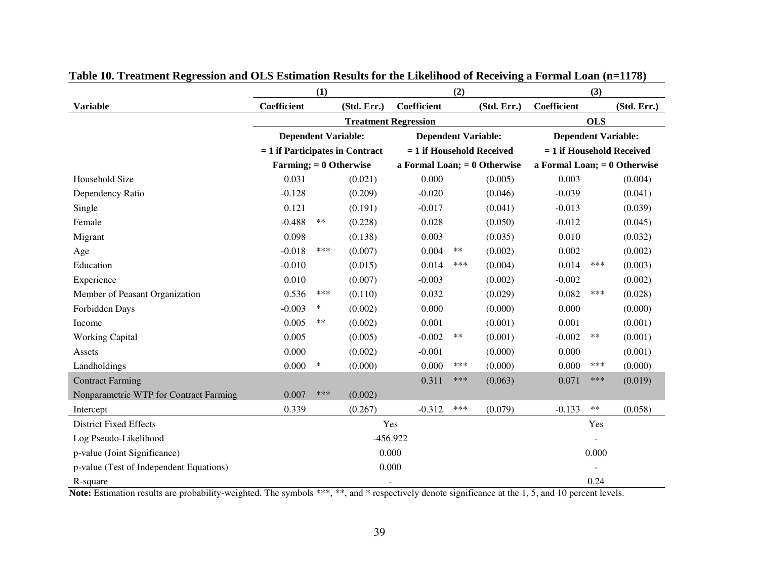|                                         | (1)                               |        |             | (2)                            |                             |             | (3)                            |                             |             |  |
|-----------------------------------------|-----------------------------------|--------|-------------|--------------------------------|-----------------------------|-------------|--------------------------------|-----------------------------|-------------|--|
| <b>Variable</b>                         | Coefficient                       |        | (Std. Err.) | Coefficient                    |                             | (Std. Err.) | Coefficient                    |                             | (Std. Err.) |  |
|                                         |                                   |        |             | <b>Treatment Regression</b>    |                             |             |                                | <b>OLS</b>                  |             |  |
|                                         | <b>Dependent Variable:</b>        |        |             | <b>Dependent Variable:</b>     |                             |             | <b>Dependent Variable:</b>     |                             |             |  |
|                                         | $= 1$ if Participates in Contract |        |             |                                | $= 1$ if Household Received |             |                                | $= 1$ if Household Received |             |  |
|                                         | Farming; $= 0$ Otherwise          |        |             | a Formal Loan; $= 0$ Otherwise |                             |             | a Formal Loan; $= 0$ Otherwise |                             |             |  |
| Household Size                          | 0.031                             |        | (0.021)     | 0.000                          |                             | (0.005)     | 0.003                          |                             | (0.004)     |  |
| Dependency Ratio                        | $-0.128$                          |        | (0.209)     | $-0.020$                       |                             | (0.046)     | $-0.039$                       |                             | (0.041)     |  |
| Single                                  | 0.121                             |        | (0.191)     | $-0.017$                       |                             | (0.041)     | $-0.013$                       |                             | (0.039)     |  |
| Female                                  | $-0.488$                          | $***$  | (0.228)     | 0.028                          |                             | (0.050)     | $-0.012$                       |                             | (0.045)     |  |
| Migrant                                 | 0.098                             |        | (0.138)     | 0.003                          |                             | (0.035)     | 0.010                          |                             | (0.032)     |  |
| Age                                     | $-0.018$                          | ***    | (0.007)     | 0.004                          | $***$                       | (0.002)     | 0.002                          |                             | (0.002)     |  |
| Education                               | $-0.010$                          |        | (0.015)     | 0.014                          | ***                         | (0.004)     | 0.014                          | ***                         | (0.003)     |  |
| Experience                              | 0.010                             |        | (0.007)     | $-0.003$                       |                             | (0.002)     | $-0.002$                       |                             | (0.002)     |  |
| Member of Peasant Organization          | 0.536                             | ***    | (0.110)     | 0.032                          |                             | (0.029)     | 0.082                          | ***                         | (0.028)     |  |
| Forbidden Days                          | $-0.003$                          | $\ast$ | (0.002)     | 0.000                          |                             | (0.000)     | 0.000                          |                             | (0.000)     |  |
| Income                                  | 0.005                             | **     | (0.002)     | 0.001                          |                             | (0.001)     | 0.001                          |                             | (0.001)     |  |
| <b>Working Capital</b>                  | 0.005                             |        | (0.005)     | $-0.002$                       | $***$                       | (0.001)     | $-0.002$                       | $***$                       | (0.001)     |  |
| Assets                                  | 0.000                             |        | (0.002)     | $-0.001$                       |                             | (0.000)     | 0.000                          |                             | (0.001)     |  |
| Landholdings                            | 0.000                             | $\ast$ | (0.000)     | 0.000                          | ***                         | (0.000)     | 0.000                          | ***                         | (0.000)     |  |
| <b>Contract Farming</b>                 |                                   |        |             | 0.311                          | ***                         | (0.063)     | 0.071                          | ***                         | (0.019)     |  |
| Nonparametric WTP for Contract Farming  | 0.007                             | ***    | (0.002)     |                                |                             |             |                                |                             |             |  |
| Intercept                               | 0.339                             |        | (0.267)     | $-0.312$                       | ***                         | (0.079)     | $-0.133$                       | $***$                       | (0.058)     |  |
| <b>District Fixed Effects</b>           |                                   |        |             | Yes                            |                             |             |                                | Yes                         |             |  |
| Log Pseudo-Likelihood                   |                                   |        |             | $-456.922$                     |                             |             |                                |                             |             |  |
| p-value (Joint Significance)            |                                   |        | 0.000       |                                |                             |             |                                | 0.000                       |             |  |
| p-value (Test of Independent Equations) |                                   |        | 0.000       |                                |                             |             |                                |                             |             |  |
| R-square                                |                                   |        |             |                                |                             |             |                                | 0.24                        |             |  |

# **Table 10. Treatment Regression and OLS Estimation Results for the Likelihood of Receiving a Formal Loan (n=1178)**

Note: Estimation results are probability-weighted. The symbols \*\*\*, \*\*, and \* respectively denote significance at the 1, 5, and 10 percent levels.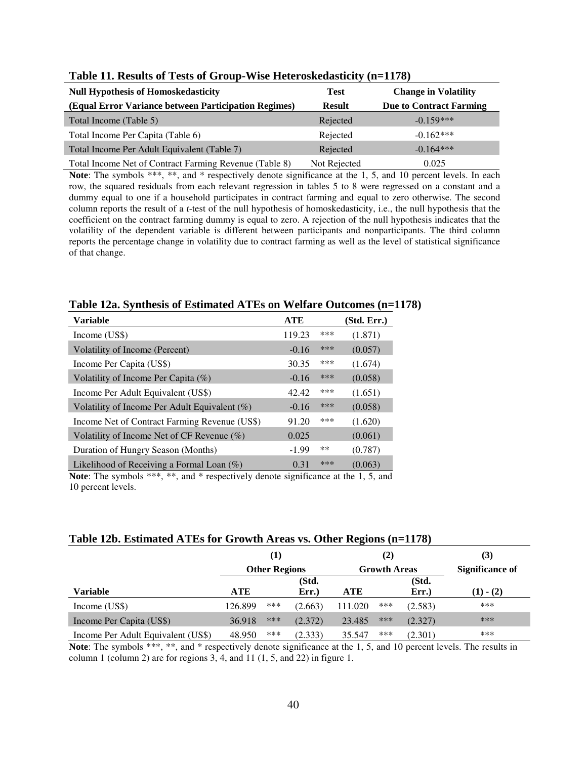| <b>Null Hypothesis of Homoskedasticity</b>             | <b>Test</b>   | <b>Change in Volatility</b>    |
|--------------------------------------------------------|---------------|--------------------------------|
| (Equal Error Variance between Participation Regimes)   | <b>Result</b> | <b>Due to Contract Farming</b> |
| Total Income (Table 5)                                 | Rejected      | $-0.159***$                    |
| Total Income Per Capita (Table 6)                      | Rejected      | $-0.162***$                    |
| Total Income Per Adult Equivalent (Table 7)            | Rejected      | $-0.164***$                    |
| Total Income Net of Contract Farming Revenue (Table 8) | Not Rejected  | 0.025                          |

#### **Table 11. Results of Tests of Group-Wise Heteroskedasticity (n=1178)**

Note: The symbols \*\*\*, \*\*, and \* respectively denote significance at the 1, 5, and 10 percent levels. In each row, the squared residuals from each relevant regression in tables 5 to 8 were regressed on a constant and a dummy equal to one if a household participates in contract farming and equal to zero otherwise. The second column reports the result of a *t*-test of the null hypothesis of homoskedasticity, i.e., the null hypothesis that the coefficient on the contract farming dummy is equal to zero. A rejection of the null hypothesis indicates that the volatility of the dependent variable is different between participants and nonparticipants. The third column reports the percentage change in volatility due to contract farming as well as the level of statistical significance of that change.

## **Table 12a. Synthesis of Estimated ATEs on Welfare Outcomes (n=1178)**

| Variable                                         | <b>ATE</b> |       | (Std. Err.) |
|--------------------------------------------------|------------|-------|-------------|
| Income (US\$)                                    | 119.23     | ***   | (1.871)     |
| Volatility of Income (Percent)                   | $-0.16$    | ***   | (0.057)     |
| Income Per Capita (US\$)                         | 30.35      | ***   | (1.674)     |
| Volatility of Income Per Capita $(\%)$           | $-0.16$    | ***   | (0.058)     |
| Income Per Adult Equivalent (US\$)               | 42.42      | ***   | (1.651)     |
| Volatility of Income Per Adult Equivalent $(\%)$ | $-0.16$    | ***   | (0.058)     |
| Income Net of Contract Farming Revenue (US\$)    | 91.20      | ***   | (1.620)     |
| Volatility of Income Net of CF Revenue $(\%)$    | 0.025      |       | (0.061)     |
| Duration of Hungry Season (Months)               | $-1.99$    | $***$ | (0.787)     |
| Likelihood of Receiving a Formal Loan $(\%)$     | 0.31       | ***   | (0.063)     |

**Note**: The symbols \*\*\*, \*\*, and \* respectively denote significance at the 1, 5, and 10 percent levels.

## **Table 12b. Estimated ATEs for Growth Areas vs. Other Regions (n=1178)**

|                                    |         | (1)                  |         |            | (2)                 |         | (3)                    |
|------------------------------------|---------|----------------------|---------|------------|---------------------|---------|------------------------|
|                                    |         | <b>Other Regions</b> |         |            | <b>Growth Areas</b> |         | <b>Significance of</b> |
|                                    |         |                      | (Std.   |            |                     | (Std.   |                        |
| Variable                           | ATE     |                      | Err.    | <b>ATE</b> |                     | Err.    | $(1) - (2)$            |
| Income (US\$)                      | 126.899 | ***                  | (2.663) | 111.020    | ***                 | (2.583) | ***                    |
| Income Per Capita (US\$)           | 36.918  | ***                  | (2.372) | 23.485     | ***                 | (2.327) | ***                    |
| Income Per Adult Equivalent (US\$) | 48.950  | ***                  | (2.333) | 35.547     | ***                 | (2.301) | ***                    |

**Note**: The symbols \*\*\*, \*\*, and \* respectively denote significance at the 1, 5, and 10 percent levels. The results in column 1 (column 2) are for regions 3, 4, and 11 (1, 5, and 22) in figure 1.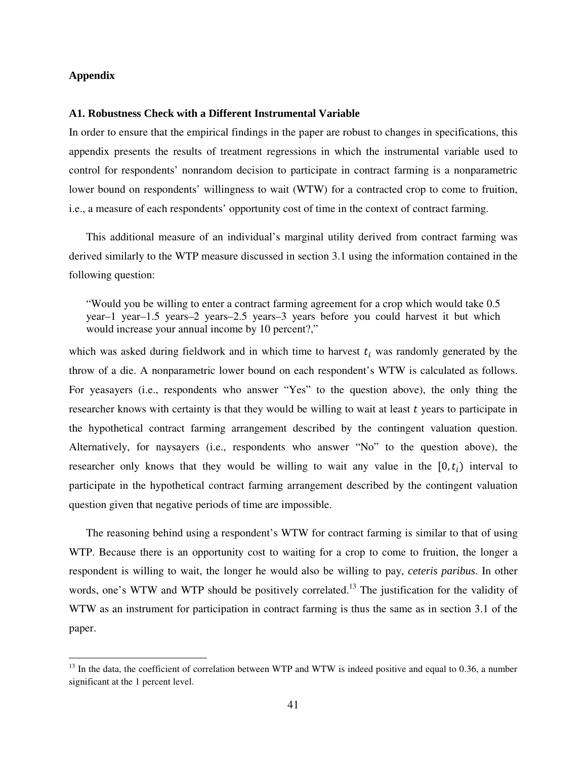#### **Appendix**

 $\overline{a}$ 

#### **A1. Robustness Check with a Different Instrumental Variable**

In order to ensure that the empirical findings in the paper are robust to changes in specifications, this appendix presents the results of treatment regressions in which the instrumental variable used to control for respondents' nonrandom decision to participate in contract farming is a nonparametric lower bound on respondents' willingness to wait (WTW) for a contracted crop to come to fruition, i.e., a measure of each respondents' opportunity cost of time in the context of contract farming.

This additional measure of an individual's marginal utility derived from contract farming was derived similarly to the WTP measure discussed in section 3.1 using the information contained in the following question:

"Would you be willing to enter a contract farming agreement for a crop which would take 0.5 year–1 year–1.5 years–2 years–2.5 years–3 years before you could harvest it but which would increase your annual income by 10 percent?,"

which was asked during fieldwork and in which time to harvest  $t_i$  was randomly generated by the throw of a die. A nonparametric lower bound on each respondent's WTW is calculated as follows. For yeasayers (i.e., respondents who answer "Yes" to the question above), the only thing the researcher knows with certainty is that they would be willing to wait at least  $t$  years to participate in the hypothetical contract farming arrangement described by the contingent valuation question. Alternatively, for naysayers (i.e., respondents who answer "No" to the question above), the researcher only knows that they would be willing to wait any value in the  $[0,t_i)$  interval to participate in the hypothetical contract farming arrangement described by the contingent valuation question given that negative periods of time are impossible.

The reasoning behind using a respondent's WTW for contract farming is similar to that of using WTP. Because there is an opportunity cost to waiting for a crop to come to fruition, the longer a respondent is willing to wait, the longer he would also be willing to pay, *ceteris paribus*. In other words, one's WTW and WTP should be positively correlated.<sup>13</sup> The justification for the validity of WTW as an instrument for participation in contract farming is thus the same as in section 3.1 of the paper.

 $^{13}$  In the data, the coefficient of correlation between WTP and WTW is indeed positive and equal to 0.36, a number significant at the 1 percent level.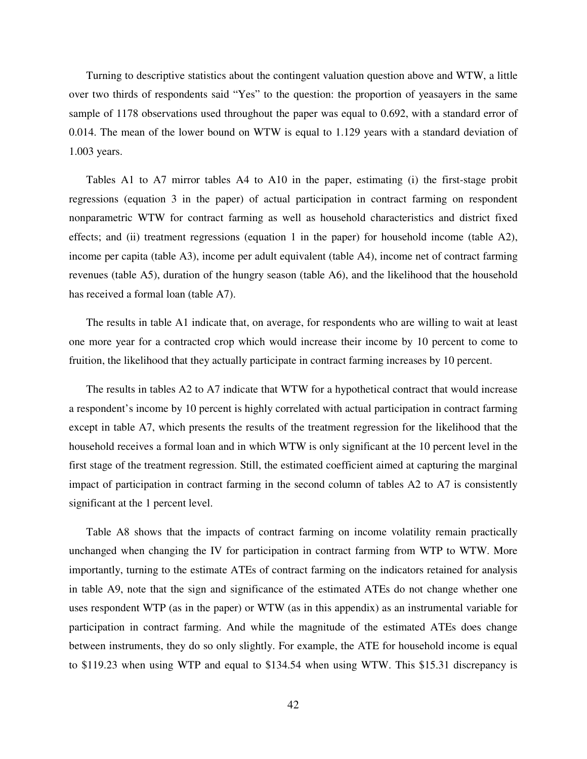Turning to descriptive statistics about the contingent valuation question above and WTW, a little over two thirds of respondents said "Yes" to the question: the proportion of yeasayers in the same sample of 1178 observations used throughout the paper was equal to 0.692, with a standard error of 0.014. The mean of the lower bound on WTW is equal to 1.129 years with a standard deviation of 1.003 years.

Tables A1 to A7 mirror tables A4 to A10 in the paper, estimating (i) the first-stage probit regressions (equation 3 in the paper) of actual participation in contract farming on respondent nonparametric WTW for contract farming as well as household characteristics and district fixed effects; and (ii) treatment regressions (equation 1 in the paper) for household income (table A2), income per capita (table A3), income per adult equivalent (table A4), income net of contract farming revenues (table A5), duration of the hungry season (table A6), and the likelihood that the household has received a formal loan (table A7).

The results in table A1 indicate that, on average, for respondents who are willing to wait at least one more year for a contracted crop which would increase their income by 10 percent to come to fruition, the likelihood that they actually participate in contract farming increases by 10 percent.

The results in tables A2 to A7 indicate that WTW for a hypothetical contract that would increase a respondent's income by 10 percent is highly correlated with actual participation in contract farming except in table A7, which presents the results of the treatment regression for the likelihood that the household receives a formal loan and in which WTW is only significant at the 10 percent level in the first stage of the treatment regression. Still, the estimated coefficient aimed at capturing the marginal impact of participation in contract farming in the second column of tables A2 to A7 is consistently significant at the 1 percent level.

Table A8 shows that the impacts of contract farming on income volatility remain practically unchanged when changing the IV for participation in contract farming from WTP to WTW. More importantly, turning to the estimate ATEs of contract farming on the indicators retained for analysis in table A9, note that the sign and significance of the estimated ATEs do not change whether one uses respondent WTP (as in the paper) or WTW (as in this appendix) as an instrumental variable for participation in contract farming. And while the magnitude of the estimated ATEs does change between instruments, they do so only slightly. For example, the ATE for household income is equal to \$119.23 when using WTP and equal to \$134.54 when using WTW. This \$15.31 discrepancy is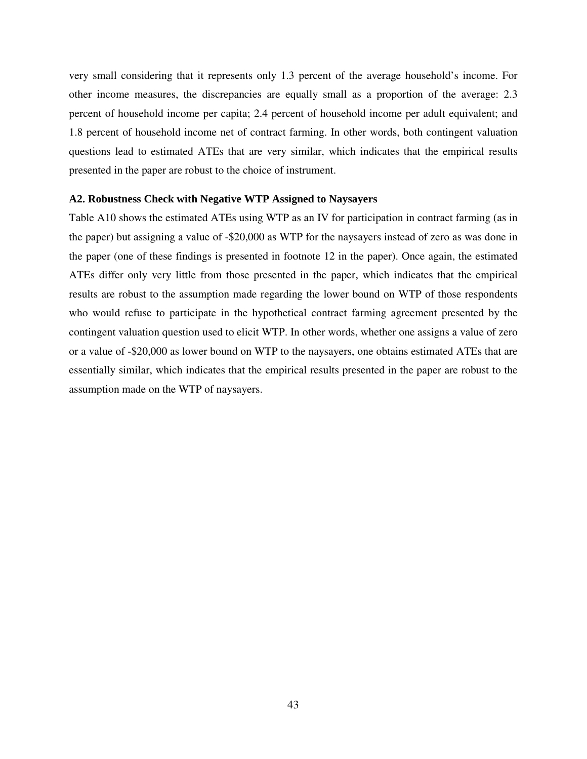very small considering that it represents only 1.3 percent of the average household's income. For other income measures, the discrepancies are equally small as a proportion of the average: 2.3 percent of household income per capita; 2.4 percent of household income per adult equivalent; and 1.8 percent of household income net of contract farming. In other words, both contingent valuation questions lead to estimated ATEs that are very similar, which indicates that the empirical results presented in the paper are robust to the choice of instrument.

#### **A2. Robustness Check with Negative WTP Assigned to Naysayers**

Table A10 shows the estimated ATEs using WTP as an IV for participation in contract farming (as in the paper) but assigning a value of -\$20,000 as WTP for the naysayers instead of zero as was done in the paper (one of these findings is presented in footnote 12 in the paper). Once again, the estimated ATEs differ only very little from those presented in the paper, which indicates that the empirical results are robust to the assumption made regarding the lower bound on WTP of those respondents who would refuse to participate in the hypothetical contract farming agreement presented by the contingent valuation question used to elicit WTP. In other words, whether one assigns a value of zero or a value of -\$20,000 as lower bound on WTP to the naysayers, one obtains estimated ATEs that are essentially similar, which indicates that the empirical results presented in the paper are robust to the assumption made on the WTP of naysayers.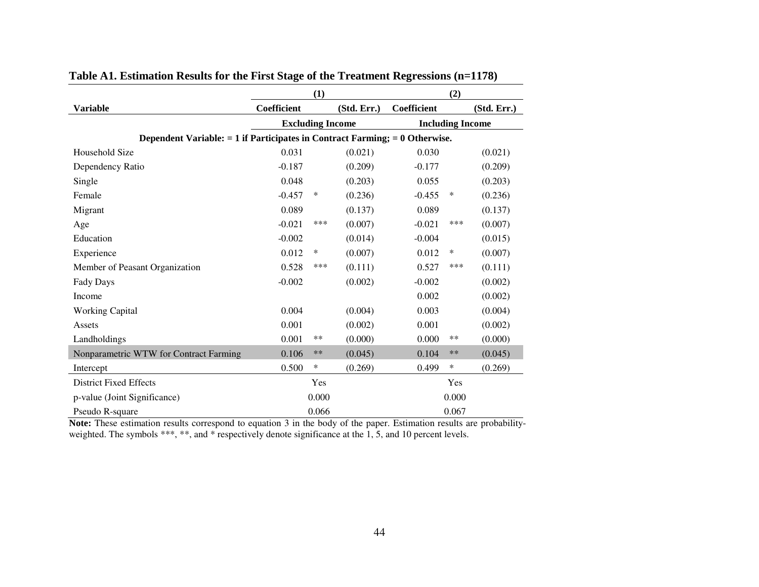|                                                                                 | (1)                     |       |             | (2)         |                         |             |  |
|---------------------------------------------------------------------------------|-------------------------|-------|-------------|-------------|-------------------------|-------------|--|
| <b>Variable</b>                                                                 | Coefficient             |       | (Std. Err.) | Coefficient |                         | (Std. Err.) |  |
|                                                                                 | <b>Excluding Income</b> |       |             |             | <b>Including Income</b> |             |  |
| Dependent Variable: $= 1$ if Participates in Contract Farming; $= 0$ Otherwise. |                         |       |             |             |                         |             |  |
| Household Size                                                                  | 0.031                   |       | (0.021)     | 0.030       |                         | (0.021)     |  |
| Dependency Ratio                                                                | $-0.187$                |       | (0.209)     | $-0.177$    |                         | (0.209)     |  |
| Single                                                                          | 0.048                   |       | (0.203)     | 0.055       |                         | (0.203)     |  |
| Female                                                                          | $-0.457$                | ∗     | (0.236)     | $-0.455$    | ∗                       | (0.236)     |  |
| Migrant                                                                         | 0.089                   |       | (0.137)     | 0.089       |                         | (0.137)     |  |
| Age                                                                             | $-0.021$                | ***   | (0.007)     | $-0.021$    | ***                     | (0.007)     |  |
| Education                                                                       | $-0.002$                |       | (0.014)     | $-0.004$    |                         | (0.015)     |  |
| Experience                                                                      | 0.012                   | ∗     | (0.007)     | 0.012       | ∗                       | (0.007)     |  |
| Member of Peasant Organization                                                  | 0.528                   | ***   | (0.111)     | 0.527       | ***                     | (0.111)     |  |
| Fady Days                                                                       | $-0.002$                |       | (0.002)     | $-0.002$    |                         | (0.002)     |  |
| Income                                                                          |                         |       |             | 0.002       |                         | (0.002)     |  |
| <b>Working Capital</b>                                                          | 0.004                   |       | (0.004)     | 0.003       |                         | (0.004)     |  |
| Assets                                                                          | 0.001                   |       | (0.002)     | 0.001       |                         | (0.002)     |  |
| Landholdings                                                                    | 0.001                   | $***$ | (0.000)     | 0.000       | $***$                   | (0.000)     |  |
| Nonparametric WTW for Contract Farming                                          | 0.106                   | $***$ | (0.045)     | 0.104       | $***$                   | (0.045)     |  |
| Intercept                                                                       | 0.500                   | ∗     | (0.269)     | 0.499       | $\ast$                  | (0.269)     |  |
| <b>District Fixed Effects</b>                                                   |                         | Yes   |             |             | Yes                     |             |  |
| p-value (Joint Significance)                                                    |                         | 0.000 |             |             | 0.000                   |             |  |
| Pseudo R-square                                                                 |                         | 0.066 |             |             | 0.067                   |             |  |

# **Table A1. Estimation Results for the First Stage of the Treatment Regressions (n=1178)**

**Note:** These estimation results correspond to equation 3 in the body of the paper. Estimation results are probabilityweighted. The symbols \*\*\*, \*\*, and \* respectively denote significance at the 1, 5, and 10 percent levels.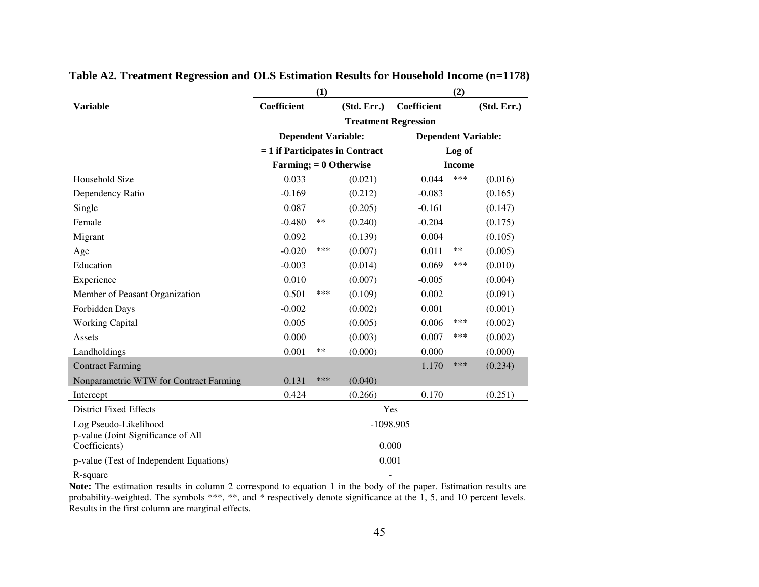|                                                     | (1)                               |     |             |                             |               |             |
|-----------------------------------------------------|-----------------------------------|-----|-------------|-----------------------------|---------------|-------------|
| <b>Variable</b>                                     | Coefficient                       |     | (Std. Err.) | Coefficient                 |               | (Std. Err.) |
|                                                     |                                   |     |             | <b>Treatment Regression</b> |               |             |
|                                                     | <b>Dependent Variable:</b>        |     |             | <b>Dependent Variable:</b>  |               |             |
|                                                     | $= 1$ if Participates in Contract |     |             |                             | Log of        |             |
|                                                     | Farming; $= 0$ Otherwise          |     |             |                             | <b>Income</b> |             |
| Household Size                                      | 0.033                             |     | (0.021)     | 0.044                       | ***           | (0.016)     |
| Dependency Ratio                                    | $-0.169$                          |     | (0.212)     | $-0.083$                    |               | (0.165)     |
| Single                                              | 0.087                             |     | (0.205)     | $-0.161$                    |               | (0.147)     |
| Female                                              | $-0.480$                          | **  | (0.240)     | $-0.204$                    |               | (0.175)     |
| Migrant                                             | 0.092                             |     | (0.139)     | 0.004                       |               | (0.105)     |
| Age                                                 | $-0.020$                          | *** | (0.007)     | 0.011                       | **            | (0.005)     |
| Education                                           | $-0.003$                          |     | (0.014)     | 0.069                       | ***           | (0.010)     |
| Experience                                          | 0.010                             |     | (0.007)     | $-0.005$                    |               | (0.004)     |
| Member of Peasant Organization                      | 0.501                             | *** | (0.109)     | 0.002                       |               | (0.091)     |
| Forbidden Days                                      | $-0.002$                          |     | (0.002)     | 0.001                       |               | (0.001)     |
| <b>Working Capital</b>                              | 0.005                             |     | (0.005)     | 0.006                       | ***           | (0.002)     |
| Assets                                              | 0.000                             |     | (0.003)     | 0.007                       | ***           | (0.002)     |
| Landholdings                                        | 0.001                             | **  | (0.000)     | 0.000                       |               | (0.000)     |
| <b>Contract Farming</b>                             |                                   |     |             | 1.170                       | ***           | (0.234)     |
| Nonparametric WTW for Contract Farming              | 0.131                             | *** | (0.040)     |                             |               |             |
| Intercept                                           | 0.424                             |     | (0.266)     | 0.170                       |               | (0.251)     |
| <b>District Fixed Effects</b>                       |                                   |     |             | Yes                         |               |             |
| Log Pseudo-Likelihood                               |                                   |     |             | $-1098.905$                 |               |             |
| p-value (Joint Significance of All<br>Coefficients) |                                   |     |             | 0.000                       |               |             |
|                                                     |                                   |     |             |                             |               |             |
| p-value (Test of Independent Equations)             |                                   |     |             | 0.001                       |               |             |
| R-square                                            |                                   |     |             | ۰                           |               |             |

# **Table A2. Treatment Regression and OLS Estimation Results for Household Income (n=1178)**

**Note:** The estimation results in column 2 correspond to equation 1 in the body of the paper. Estimation results are probability-weighted. The symbols \*\*\*, \*\*, and \* respectively denote significance at the 1, 5, and 10 percent levels. Results in the first column are marginal effects.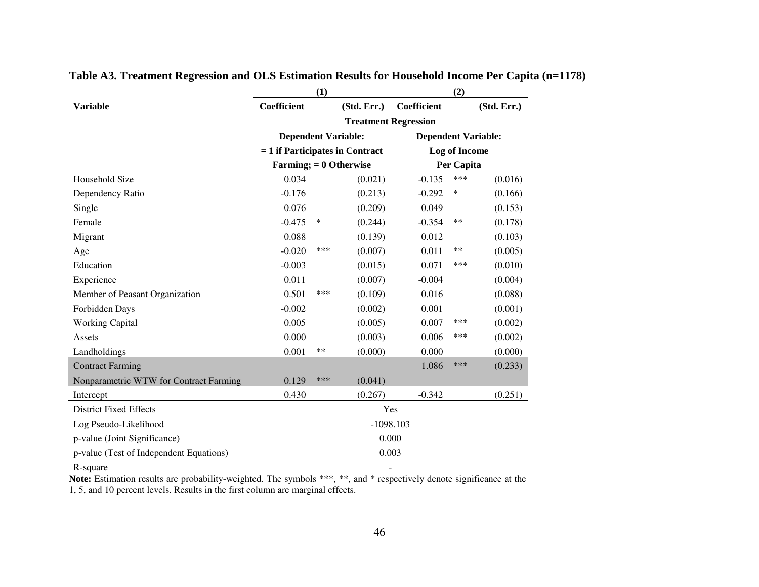|                                         | (1)                               |     |                             | (2)                        |               |             |
|-----------------------------------------|-----------------------------------|-----|-----------------------------|----------------------------|---------------|-------------|
| <b>Variable</b>                         | Coefficient                       |     | (Std. Err.)                 | Coefficient                |               | (Std. Err.) |
|                                         |                                   |     | <b>Treatment Regression</b> |                            |               |             |
|                                         | <b>Dependent Variable:</b>        |     |                             | <b>Dependent Variable:</b> |               |             |
|                                         | $= 1$ if Participates in Contract |     |                             |                            | Log of Income |             |
|                                         | Farming; $= 0$ Otherwise          |     |                             |                            | Per Capita    |             |
| Household Size                          | 0.034                             |     | (0.021)                     | $-0.135$                   | ***           | (0.016)     |
| Dependency Ratio                        | $-0.176$                          |     | (0.213)                     | $-0.292$                   | $\ast$        | (0.166)     |
| Single                                  | 0.076                             |     | (0.209)                     | 0.049                      |               | (0.153)     |
| Female                                  | $-0.475$                          | ∗   | (0.244)                     | $-0.354$                   | $***$         | (0.178)     |
| Migrant                                 | 0.088                             |     | (0.139)                     | 0.012                      |               | (0.103)     |
| Age                                     | $-0.020$                          | *** | (0.007)                     | 0.011                      | $***$         | (0.005)     |
| Education                               | $-0.003$                          |     | (0.015)                     | 0.071                      | ***           | (0.010)     |
| Experience                              | 0.011                             |     | (0.007)                     | $-0.004$                   |               | (0.004)     |
| Member of Peasant Organization          | 0.501                             | *** | (0.109)                     | 0.016                      |               | (0.088)     |
| Forbidden Days                          | $-0.002$                          |     | (0.002)                     | 0.001                      |               | (0.001)     |
| <b>Working Capital</b>                  | 0.005                             |     | (0.005)                     | 0.007                      | ***           | (0.002)     |
| Assets                                  | 0.000                             |     | (0.003)                     | 0.006                      | ***           | (0.002)     |
| Landholdings                            | 0.001                             | **  | (0.000)                     | 0.000                      |               | (0.000)     |
| <b>Contract Farming</b>                 |                                   |     |                             | 1.086                      | ***           | (0.233)     |
| Nonparametric WTW for Contract Farming  | 0.129                             | *** | (0.041)                     |                            |               |             |
| Intercept                               | 0.430                             |     | (0.267)                     | $-0.342$                   |               | (0.251)     |
| <b>District Fixed Effects</b>           |                                   |     |                             | Yes                        |               |             |
| Log Pseudo-Likelihood                   |                                   |     |                             | $-1098.103$                |               |             |
| p-value (Joint Significance)            |                                   |     | 0.000                       |                            |               |             |
| p-value (Test of Independent Equations) |                                   |     | 0.003                       |                            |               |             |
| R-square                                |                                   |     |                             | ۰                          |               |             |

# **Table A3. Treatment Regression and OLS Estimation Results for Household Income Per Capita (n=1178)**

Note: Estimation results are probability-weighted. The symbols \*\*\*, \*\*, and \* respectively denote significance at the 1, 5, and 10 percent levels. Results in the first column are marginal effects.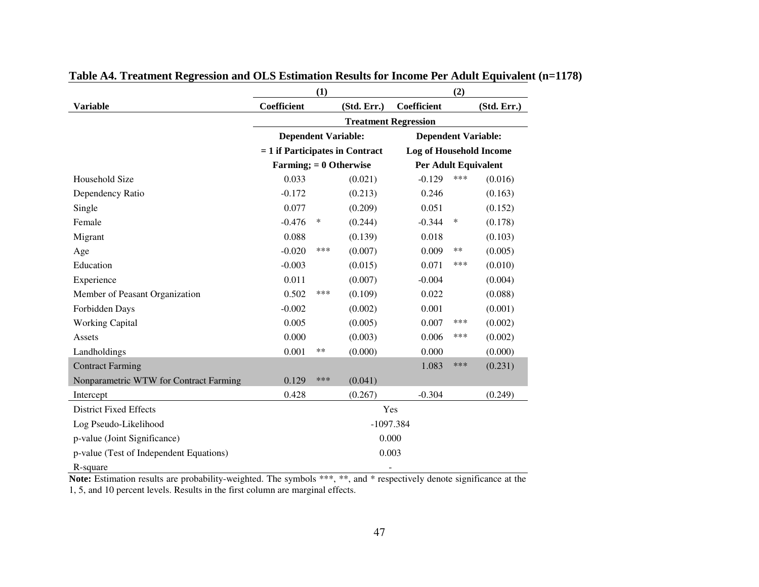|                                         |                                   | (1) |             |                                | (2) |             |
|-----------------------------------------|-----------------------------------|-----|-------------|--------------------------------|-----|-------------|
| <b>Variable</b>                         | Coefficient                       |     | (Std. Err.) | Coefficient                    |     | (Std. Err.) |
|                                         |                                   |     |             | <b>Treatment Regression</b>    |     |             |
|                                         | <b>Dependent Variable:</b>        |     |             | <b>Dependent Variable:</b>     |     |             |
|                                         | $= 1$ if Participates in Contract |     |             | <b>Log of Household Income</b> |     |             |
|                                         | Farming; $= 0$ Otherwise          |     |             | <b>Per Adult Equivalent</b>    |     |             |
| Household Size                          | 0.033                             |     | (0.021)     | $-0.129$                       | *** | (0.016)     |
| Dependency Ratio                        | $-0.172$                          |     | (0.213)     | 0.246                          |     | (0.163)     |
| Single                                  | 0.077                             |     | (0.209)     | 0.051                          |     | (0.152)     |
| Female                                  | $-0.476$                          | ∗   | (0.244)     | $-0.344$                       | ∗   | (0.178)     |
| Migrant                                 | 0.088                             |     | (0.139)     | 0.018                          |     | (0.103)     |
| Age                                     | $-0.020$                          | *** | (0.007)     | 0.009                          | **  | (0.005)     |
| Education                               | $-0.003$                          |     | (0.015)     | 0.071                          | *** | (0.010)     |
| Experience                              | 0.011                             |     | (0.007)     | $-0.004$                       |     | (0.004)     |
| Member of Peasant Organization          | 0.502                             | *** | (0.109)     | 0.022                          |     | (0.088)     |
| Forbidden Days                          | $-0.002$                          |     | (0.002)     | 0.001                          |     | (0.001)     |
| <b>Working Capital</b>                  | 0.005                             |     | (0.005)     | 0.007                          | *** | (0.002)     |
| Assets                                  | 0.000                             |     | (0.003)     | 0.006                          | *** | (0.002)     |
| Landholdings                            | 0.001                             | **  | (0.000)     | 0.000                          |     | (0.000)     |
| <b>Contract Farming</b>                 |                                   |     |             | 1.083                          | *** | (0.231)     |
| Nonparametric WTW for Contract Farming  | 0.129                             | *** | (0.041)     |                                |     |             |
| Intercept                               | 0.428                             |     | (0.267)     | $-0.304$                       |     | (0.249)     |
| <b>District Fixed Effects</b>           |                                   |     |             | Yes                            |     |             |
| Log Pseudo-Likelihood                   |                                   |     |             | $-1097.384$                    |     |             |
| p-value (Joint Significance)            |                                   |     |             | 0.000                          |     |             |
| p-value (Test of Independent Equations) |                                   |     |             | 0.003                          |     |             |
| R-square                                |                                   |     |             |                                |     |             |

# **Table A4. Treatment Regression and OLS Estimation Results for Income Per Adult Equivalent (n=1178)**

Note: Estimation results are probability-weighted. The symbols \*\*\*, \*\*, and \* respectively denote significance at the 1, 5, and 10 percent levels. Results in the first column are marginal effects.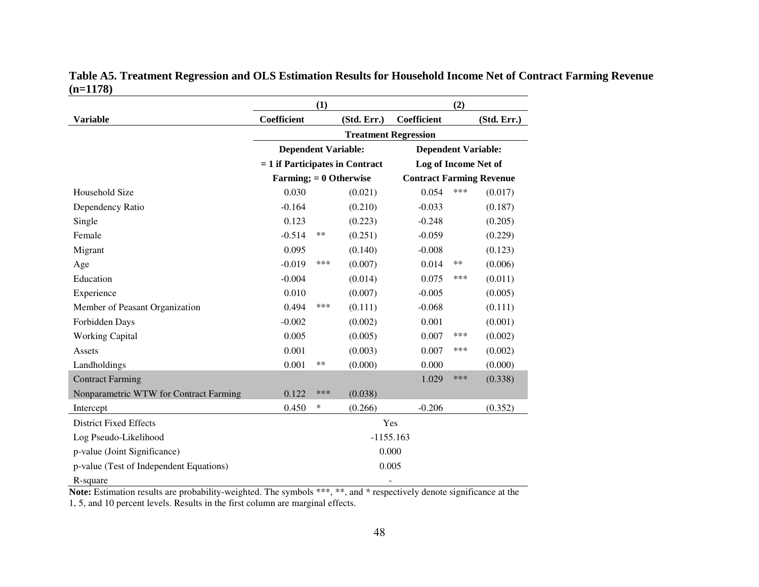|                                         | (1)                               |     |                             | (2)                             |       |             |
|-----------------------------------------|-----------------------------------|-----|-----------------------------|---------------------------------|-------|-------------|
| <b>Variable</b>                         | Coefficient                       |     | (Std. Err.)                 | Coefficient                     |       | (Std. Err.) |
|                                         |                                   |     | <b>Treatment Regression</b> |                                 |       |             |
|                                         | <b>Dependent Variable:</b>        |     |                             | <b>Dependent Variable:</b>      |       |             |
|                                         | $= 1$ if Participates in Contract |     |                             | Log of Income Net of            |       |             |
|                                         | Farming; $= 0$ Otherwise          |     |                             | <b>Contract Farming Revenue</b> |       |             |
| Household Size                          | 0.030                             |     | (0.021)                     | 0.054                           | ***   | (0.017)     |
| Dependency Ratio                        | $-0.164$                          |     | (0.210)                     | $-0.033$                        |       | (0.187)     |
| Single                                  | 0.123                             |     | (0.223)                     | $-0.248$                        |       | (0.205)     |
| Female                                  | $-0.514$                          | **  | (0.251)                     | $-0.059$                        |       | (0.229)     |
| Migrant                                 | 0.095                             |     | (0.140)                     | $-0.008$                        |       | (0.123)     |
| Age                                     | $-0.019$                          | *** | (0.007)                     | 0.014                           | $***$ | (0.006)     |
| Education                               | $-0.004$                          |     | (0.014)                     | 0.075                           | ***   | (0.011)     |
| Experience                              | 0.010                             |     | (0.007)                     | $-0.005$                        |       | (0.005)     |
| Member of Peasant Organization          | 0.494                             | *** | (0.111)                     | $-0.068$                        |       | (0.111)     |
| Forbidden Days                          | $-0.002$                          |     | (0.002)                     | 0.001                           |       | (0.001)     |
| <b>Working Capital</b>                  | 0.005                             |     | (0.005)                     | 0.007                           | ***   | (0.002)     |
| Assets                                  | 0.001                             |     | (0.003)                     | 0.007                           | ***   | (0.002)     |
| Landholdings                            | 0.001                             | **  | (0.000)                     | 0.000                           |       | (0.000)     |
| <b>Contract Farming</b>                 |                                   |     |                             | 1.029                           | ***   | (0.338)     |
| Nonparametric WTW for Contract Farming  | 0.122                             | *** | (0.038)                     |                                 |       |             |
| Intercept                               | 0.450                             | ∗   | (0.266)                     | $-0.206$                        |       | (0.352)     |
| <b>District Fixed Effects</b>           |                                   |     | Yes                         |                                 |       |             |
| Log Pseudo-Likelihood                   |                                   |     | $-1155.163$                 |                                 |       |             |
| p-value (Joint Significance)            |                                   |     | 0.000                       |                                 |       |             |
| p-value (Test of Independent Equations) |                                   |     | 0.005                       |                                 |       |             |
| R-square                                |                                   |     |                             |                                 |       |             |

# **Table A5. Treatment Regression and OLS Estimation Results for Household Income Net of Contract Farming Revenue (n=1178)**

**Note:** Estimation results are probability-weighted. The symbols \*\*\*, \*\*, and \* respectively denote significance at the

1, 5, and 10 percent levels. Results in the first column are marginal effects.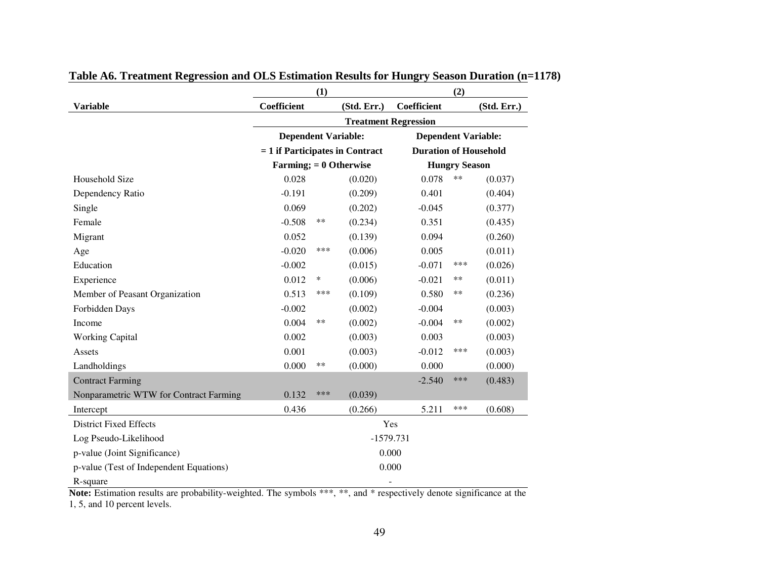|                                                                                                                        |                                   | (1) |             |                              | (2)                  |             |  |
|------------------------------------------------------------------------------------------------------------------------|-----------------------------------|-----|-------------|------------------------------|----------------------|-------------|--|
| <b>Variable</b>                                                                                                        | Coefficient                       |     | (Std. Err.) | Coefficient                  |                      | (Std. Err.) |  |
|                                                                                                                        | <b>Treatment Regression</b>       |     |             |                              |                      |             |  |
|                                                                                                                        | <b>Dependent Variable:</b>        |     |             | <b>Dependent Variable:</b>   |                      |             |  |
|                                                                                                                        | $= 1$ if Participates in Contract |     |             | <b>Duration of Household</b> |                      |             |  |
|                                                                                                                        | Farming; $= 0$ Otherwise          |     |             |                              | <b>Hungry Season</b> |             |  |
| Household Size                                                                                                         | 0.028                             |     | (0.020)     | 0.078                        | $***$                | (0.037)     |  |
| Dependency Ratio                                                                                                       | $-0.191$                          |     | (0.209)     | 0.401                        |                      | (0.404)     |  |
| Single                                                                                                                 | 0.069                             |     | (0.202)     | $-0.045$                     |                      | (0.377)     |  |
| Female                                                                                                                 | $-0.508$                          | **  | (0.234)     | 0.351                        |                      | (0.435)     |  |
| Migrant                                                                                                                | 0.052                             |     | (0.139)     | 0.094                        |                      | (0.260)     |  |
| Age                                                                                                                    | $-0.020$                          | *** | (0.006)     | 0.005                        |                      | (0.011)     |  |
| Education                                                                                                              | $-0.002$                          |     | (0.015)     | $-0.071$                     | ***                  | (0.026)     |  |
| Experience                                                                                                             | 0.012                             | ∗   | (0.006)     | $-0.021$                     | **                   | (0.011)     |  |
| Member of Peasant Organization                                                                                         | 0.513                             | *** | (0.109)     | 0.580                        | $***$                | (0.236)     |  |
| Forbidden Days                                                                                                         | $-0.002$                          |     | (0.002)     | $-0.004$                     |                      | (0.003)     |  |
| Income                                                                                                                 | 0.004                             | **  | (0.002)     | $-0.004$                     | **                   | (0.002)     |  |
| <b>Working Capital</b>                                                                                                 | 0.002                             |     | (0.003)     | 0.003                        |                      | (0.003)     |  |
| Assets                                                                                                                 | 0.001                             |     | (0.003)     | $-0.012$                     | ***                  | (0.003)     |  |
| Landholdings                                                                                                           | 0.000                             | **  | (0.000)     | 0.000                        |                      | (0.000)     |  |
| <b>Contract Farming</b>                                                                                                |                                   |     |             | $-2.540$                     | ***                  | (0.483)     |  |
| Nonparametric WTW for Contract Farming                                                                                 | 0.132                             | *** | (0.039)     |                              |                      |             |  |
| Intercept                                                                                                              | 0.436                             |     | (0.266)     | 5.211                        | ***                  | (0.608)     |  |
| <b>District Fixed Effects</b>                                                                                          |                                   |     |             | Yes                          |                      |             |  |
| Log Pseudo-Likelihood                                                                                                  |                                   |     | $-1579.731$ |                              |                      |             |  |
| p-value (Joint Significance)                                                                                           |                                   |     |             | 0.000                        |                      |             |  |
| p-value (Test of Independent Equations)                                                                                |                                   |     | 0.000       |                              |                      |             |  |
| R-square                                                                                                               |                                   |     |             |                              |                      |             |  |
| Note: Estimation results are probability-weighted. The symbols $*****$ and $*$ respectively denote significance at the |                                   |     |             |                              |                      |             |  |

# **Table A6. Treatment Regression and OLS Estimation Results for Hungry Season Duration (n=1178)**

Note: Estimation results are probability-weighted. The symbols \*\*\*, \*\*, and \* respectively denote significance at the 1, 5, and 10 percent levels.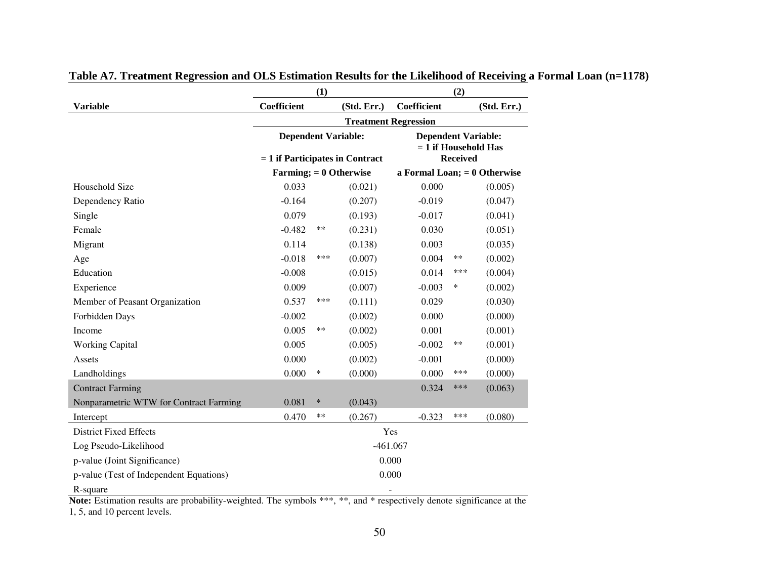|                                         |                                   | (1)                                                                                |             |                                | (2)             |             |  |
|-----------------------------------------|-----------------------------------|------------------------------------------------------------------------------------|-------------|--------------------------------|-----------------|-------------|--|
| <b>Variable</b>                         | Coefficient                       |                                                                                    | (Std. Err.) | Coefficient                    |                 | (Std. Err.) |  |
|                                         |                                   | <b>Treatment Regression</b>                                                        |             |                                |                 |             |  |
|                                         |                                   | <b>Dependent Variable:</b><br><b>Dependent Variable:</b><br>$= 1$ if Household Has |             |                                |                 |             |  |
|                                         | $= 1$ if Participates in Contract |                                                                                    |             |                                | <b>Received</b> |             |  |
|                                         | Farming; $= 0$ Otherwise          |                                                                                    |             | a Formal Loan; $= 0$ Otherwise |                 |             |  |
| Household Size                          | 0.033                             |                                                                                    | (0.021)     | 0.000                          |                 | (0.005)     |  |
| Dependency Ratio                        | $-0.164$                          |                                                                                    | (0.207)     | $-0.019$                       |                 | (0.047)     |  |
| Single                                  | 0.079                             |                                                                                    | (0.193)     | $-0.017$                       |                 | (0.041)     |  |
| Female                                  | $-0.482$                          | **                                                                                 | (0.231)     | 0.030                          |                 | (0.051)     |  |
| Migrant                                 | 0.114                             |                                                                                    | (0.138)     | 0.003                          |                 | (0.035)     |  |
| Age                                     | $-0.018$                          | ***                                                                                | (0.007)     | 0.004                          | $***$           | (0.002)     |  |
| Education                               | $-0.008$                          |                                                                                    | (0.015)     | 0.014                          | ***             | (0.004)     |  |
| Experience                              | 0.009                             |                                                                                    | (0.007)     | $-0.003$                       | $\ast$          | (0.002)     |  |
| Member of Peasant Organization          | 0.537                             | ***                                                                                | (0.111)     | 0.029                          |                 | (0.030)     |  |
| Forbidden Days                          | $-0.002$                          |                                                                                    | (0.002)     | 0.000                          |                 | (0.000)     |  |
| Income                                  | 0.005                             | **                                                                                 | (0.002)     | 0.001                          |                 | (0.001)     |  |
| <b>Working Capital</b>                  | 0.005                             |                                                                                    | (0.005)     | $-0.002$                       | **              | (0.001)     |  |
| Assets                                  | 0.000                             |                                                                                    | (0.002)     | $-0.001$                       |                 | (0.000)     |  |
| Landholdings                            | 0.000                             | ∗                                                                                  | (0.000)     | 0.000                          | ***             | (0.000)     |  |
| <b>Contract Farming</b>                 |                                   |                                                                                    |             | 0.324                          | ***             | (0.063)     |  |
| Nonparametric WTW for Contract Farming  | 0.081                             | $\ast$                                                                             | (0.043)     |                                |                 |             |  |
| Intercept                               | 0.470                             | **                                                                                 | (0.267)     | $-0.323$                       | ***             | (0.080)     |  |
| <b>District Fixed Effects</b>           |                                   |                                                                                    |             | Yes                            |                 |             |  |
| Log Pseudo-Likelihood                   |                                   |                                                                                    |             | $-461.067$                     |                 |             |  |
| p-value (Joint Significance)            |                                   |                                                                                    |             | 0.000                          |                 |             |  |
| p-value (Test of Independent Equations) |                                   |                                                                                    |             | 0.000                          |                 |             |  |
| R-square                                |                                   |                                                                                    |             |                                |                 |             |  |

# **Table A7. Treatment Regression and OLS Estimation Results for the Likelihood of Receiving a Formal Loan (n=1178)**

Note: Estimation results are probability-weighted. The symbols \*\*\*, \*\*, and \* respectively denote significance at the 1, 5, and 10 percent levels.